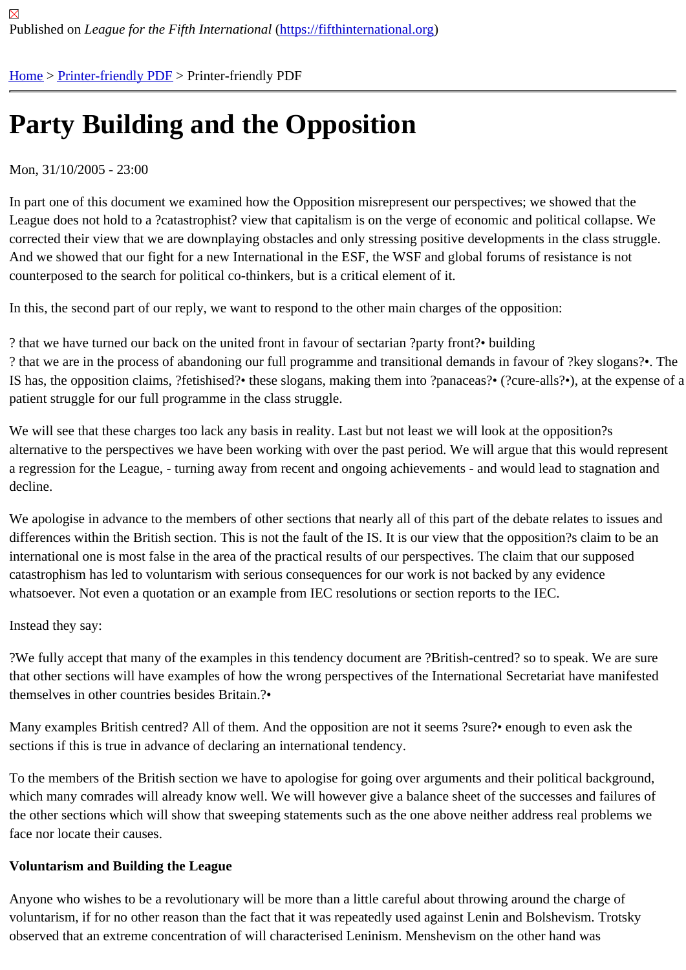# [Pa](https://fifthinternational.org/)r[ty Building](https://fifthinternational.org/printpdf) and the Opposition

#### Mon, 31/10/2005 - 23:00

In part one of this document we examined how the Opposition misrepresent our perspectives; we showed that the League does not hold to a ?catastrophist? view that capitalism is on the verge of economic and political collapse. V corrected their view that we are downplaying obstacles and only stressing positive developments in the class struggle. And we showed that our fight for a new International in the ESF, the WSF and global forums of resistance is not counterposed to the search for political co-thinkers, but is a critical element of it.

In this, the second part of our reply, we want to respond to the other main charges of the opposition:

? that we have turned our back on the united front in favour of sectarian ?party front?• building ? that we are in the process of abandoning our full programme and transitional demands in favour of ?key slogans IS has, the opposition claims, ?fetishised?• these slogans, making them into ?panaceas?• (?cure-alls?•), at the ex patient struggle for our full programme in the class struggle.

We will see that these charges too lack any basis in reality. Last but not least we will look at the opposition?s alternative to the perspectives we have been working with over the past period. We will argue that this would repre a regression for the League, - turning away from recent and ongoing achievements - and would lead to stagnation and decline.

We apologise in advance to the members of other sections that nearly all of this part of the debate relates to issue differences within the British section. This is not the fault of the IS. It is our view that the opposition?s claim to be a international one is most false in the area of the practical results of our perspectives. The claim that our supposed catastrophism has led to voluntarism with serious consequences for our work is not backed by any evidence whatsoever. Not even a quotation or an example from IEC resolutions or section reports to the IEC.

#### Instead they say:

?We fully accept that many of the examples in this tendency document are ?British-centred? so to speak. We are that other sections will have examples of how the wrong perspectives of the International Secretariat have manifes themselves in other countries besides Britain.?•

Many examples British centred? All of them. And the opposition are not it seems ?sure?• enough to even ask the sections if this is true in advance of declaring an international tendency.

To the members of the British section we have to apologise for going over arguments and their political backgroun which many comrades will already know well. We will however give a balance sheet of the successes and failures the other sections which will show that sweeping statements such as the one above neither address real problems face nor locate their causes.

#### Voluntarism and Building the League

Anyone who wishes to be a revolutionary will be more than a little careful about throwing around the charge of voluntarism, if for no other reason than the fact that it was repeatedly used against Lenin and Bolshevism. Trotsky observed that an extreme concentration of will characterised Leninism. Menshevism on the other hand was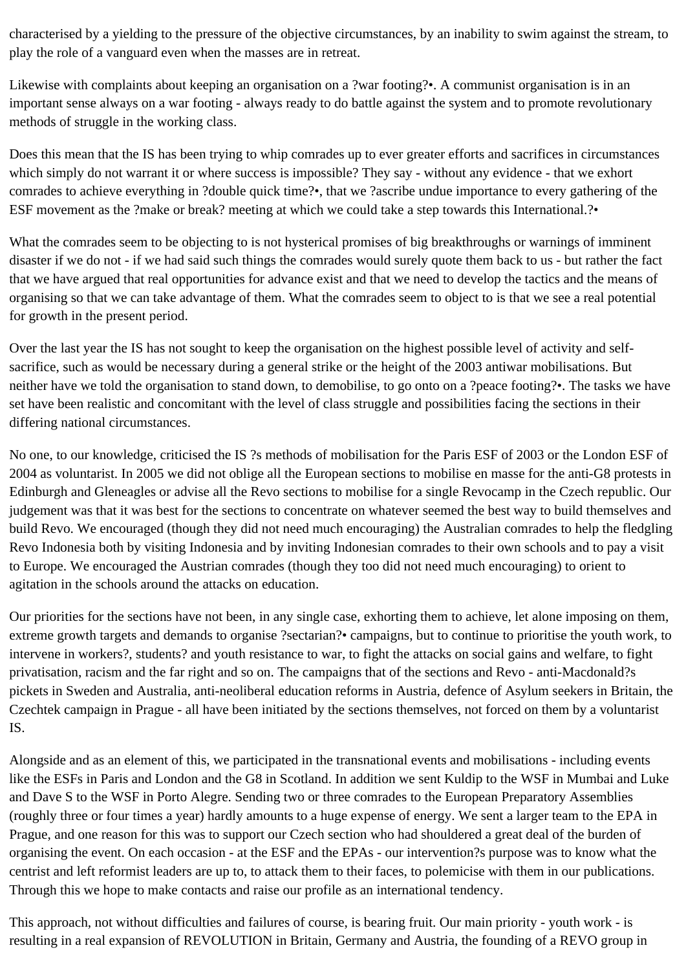characterised by a yielding to the pressure of the objective circumstances, by an inability to swim against the stream, to play the role of a vanguard even when the masses are in retreat.

Likewise with complaints about keeping an organisation on a ?war footing?•. A communist organisation is in an important sense always on a war footing - always ready to do battle against the system and to promote revolutionary methods of struggle in the working class.

Does this mean that the IS has been trying to whip comrades up to ever greater efforts and sacrifices in circumstances which simply do not warrant it or where success is impossible? They say - without any evidence - that we exhort comrades to achieve everything in ?double quick time?•, that we ?ascribe undue importance to every gathering of the ESF movement as the ?make or break? meeting at which we could take a step towards this International.?•

What the comrades seem to be objecting to is not hysterical promises of big breakthroughs or warnings of imminent disaster if we do not - if we had said such things the comrades would surely quote them back to us - but rather the fact that we have argued that real opportunities for advance exist and that we need to develop the tactics and the means of organising so that we can take advantage of them. What the comrades seem to object to is that we see a real potential for growth in the present period.

Over the last year the IS has not sought to keep the organisation on the highest possible level of activity and selfsacrifice, such as would be necessary during a general strike or the height of the 2003 antiwar mobilisations. But neither have we told the organisation to stand down, to demobilise, to go onto on a ?peace footing?•. The tasks we have set have been realistic and concomitant with the level of class struggle and possibilities facing the sections in their differing national circumstances.

No one, to our knowledge, criticised the IS ?s methods of mobilisation for the Paris ESF of 2003 or the London ESF of 2004 as voluntarist. In 2005 we did not oblige all the European sections to mobilise en masse for the anti-G8 protests in Edinburgh and Gleneagles or advise all the Revo sections to mobilise for a single Revocamp in the Czech republic. Our judgement was that it was best for the sections to concentrate on whatever seemed the best way to build themselves and build Revo. We encouraged (though they did not need much encouraging) the Australian comrades to help the fledgling Revo Indonesia both by visiting Indonesia and by inviting Indonesian comrades to their own schools and to pay a visit to Europe. We encouraged the Austrian comrades (though they too did not need much encouraging) to orient to agitation in the schools around the attacks on education.

Our priorities for the sections have not been, in any single case, exhorting them to achieve, let alone imposing on them, extreme growth targets and demands to organise ?sectarian?• campaigns, but to continue to prioritise the youth work, to intervene in workers?, students? and youth resistance to war, to fight the attacks on social gains and welfare, to fight privatisation, racism and the far right and so on. The campaigns that of the sections and Revo - anti-Macdonald?s pickets in Sweden and Australia, anti-neoliberal education reforms in Austria, defence of Asylum seekers in Britain, the Czechtek campaign in Prague - all have been initiated by the sections themselves, not forced on them by a voluntarist IS.

Alongside and as an element of this, we participated in the transnational events and mobilisations - including events like the ESFs in Paris and London and the G8 in Scotland. In addition we sent Kuldip to the WSF in Mumbai and Luke and Dave S to the WSF in Porto Alegre. Sending two or three comrades to the European Preparatory Assemblies (roughly three or four times a year) hardly amounts to a huge expense of energy. We sent a larger team to the EPA in Prague, and one reason for this was to support our Czech section who had shouldered a great deal of the burden of organising the event. On each occasion - at the ESF and the EPAs - our intervention?s purpose was to know what the centrist and left reformist leaders are up to, to attack them to their faces, to polemicise with them in our publications. Through this we hope to make contacts and raise our profile as an international tendency.

This approach, not without difficulties and failures of course, is bearing fruit. Our main priority - youth work - is resulting in a real expansion of REVOLUTION in Britain, Germany and Austria, the founding of a REVO group in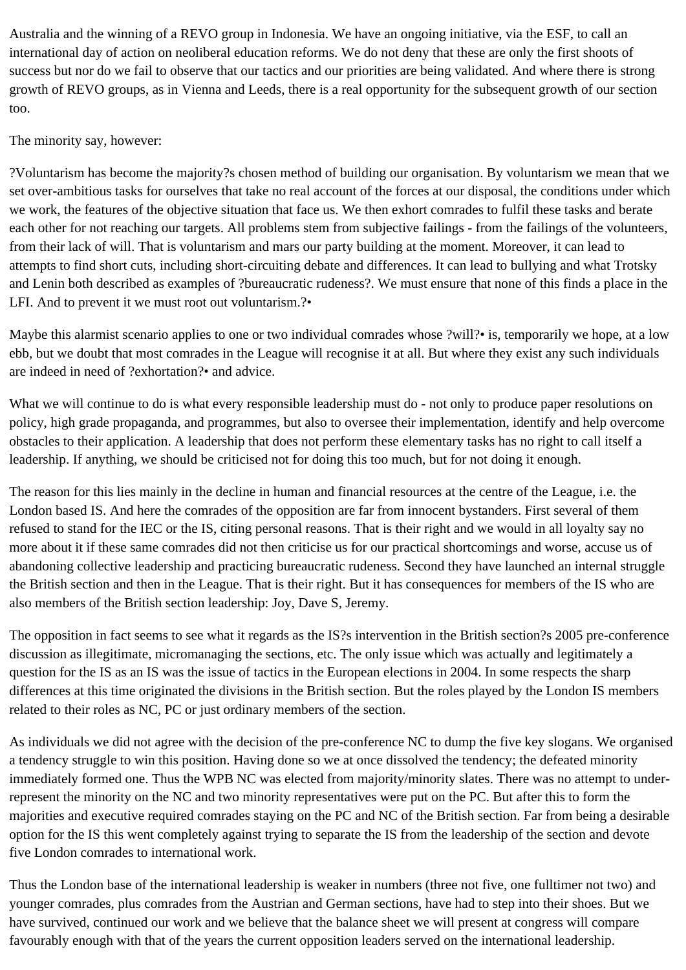Australia and the winning of a REVO group in Indonesia. We have an ongoing initiative, via the ESF, to call an international day of action on neoliberal education reforms. We do not deny that these are only the first shoots of success but nor do we fail to observe that our tactics and our priorities are being validated. And where there is strong growth of REVO groups, as in Vienna and Leeds, there is a real opportunity for the subsequent growth of our section too.

## The minority say, however:

?Voluntarism has become the majority?s chosen method of building our organisation. By voluntarism we mean that we set over-ambitious tasks for ourselves that take no real account of the forces at our disposal, the conditions under which we work, the features of the objective situation that face us. We then exhort comrades to fulfil these tasks and berate each other for not reaching our targets. All problems stem from subjective failings - from the failings of the volunteers, from their lack of will. That is voluntarism and mars our party building at the moment. Moreover, it can lead to attempts to find short cuts, including short-circuiting debate and differences. It can lead to bullying and what Trotsky and Lenin both described as examples of ?bureaucratic rudeness?. We must ensure that none of this finds a place in the LFI. And to prevent it we must root out voluntarism.?•

Maybe this alarmist scenario applies to one or two individual comrades whose ?will?• is, temporarily we hope, at a low ebb, but we doubt that most comrades in the League will recognise it at all. But where they exist any such individuals are indeed in need of ?exhortation?• and advice.

What we will continue to do is what every responsible leadership must do - not only to produce paper resolutions on policy, high grade propaganda, and programmes, but also to oversee their implementation, identify and help overcome obstacles to their application. A leadership that does not perform these elementary tasks has no right to call itself a leadership. If anything, we should be criticised not for doing this too much, but for not doing it enough.

The reason for this lies mainly in the decline in human and financial resources at the centre of the League, i.e. the London based IS. And here the comrades of the opposition are far from innocent bystanders. First several of them refused to stand for the IEC or the IS, citing personal reasons. That is their right and we would in all loyalty say no more about it if these same comrades did not then criticise us for our practical shortcomings and worse, accuse us of abandoning collective leadership and practicing bureaucratic rudeness. Second they have launched an internal struggle the British section and then in the League. That is their right. But it has consequences for members of the IS who are also members of the British section leadership: Joy, Dave S, Jeremy.

The opposition in fact seems to see what it regards as the IS?s intervention in the British section?s 2005 pre-conference discussion as illegitimate, micromanaging the sections, etc. The only issue which was actually and legitimately a question for the IS as an IS was the issue of tactics in the European elections in 2004. In some respects the sharp differences at this time originated the divisions in the British section. But the roles played by the London IS members related to their roles as NC, PC or just ordinary members of the section.

As individuals we did not agree with the decision of the pre-conference NC to dump the five key slogans. We organised a tendency struggle to win this position. Having done so we at once dissolved the tendency; the defeated minority immediately formed one. Thus the WPB NC was elected from majority/minority slates. There was no attempt to underrepresent the minority on the NC and two minority representatives were put on the PC. But after this to form the majorities and executive required comrades staying on the PC and NC of the British section. Far from being a desirable option for the IS this went completely against trying to separate the IS from the leadership of the section and devote five London comrades to international work.

Thus the London base of the international leadership is weaker in numbers (three not five, one fulltimer not two) and younger comrades, plus comrades from the Austrian and German sections, have had to step into their shoes. But we have survived, continued our work and we believe that the balance sheet we will present at congress will compare favourably enough with that of the years the current opposition leaders served on the international leadership.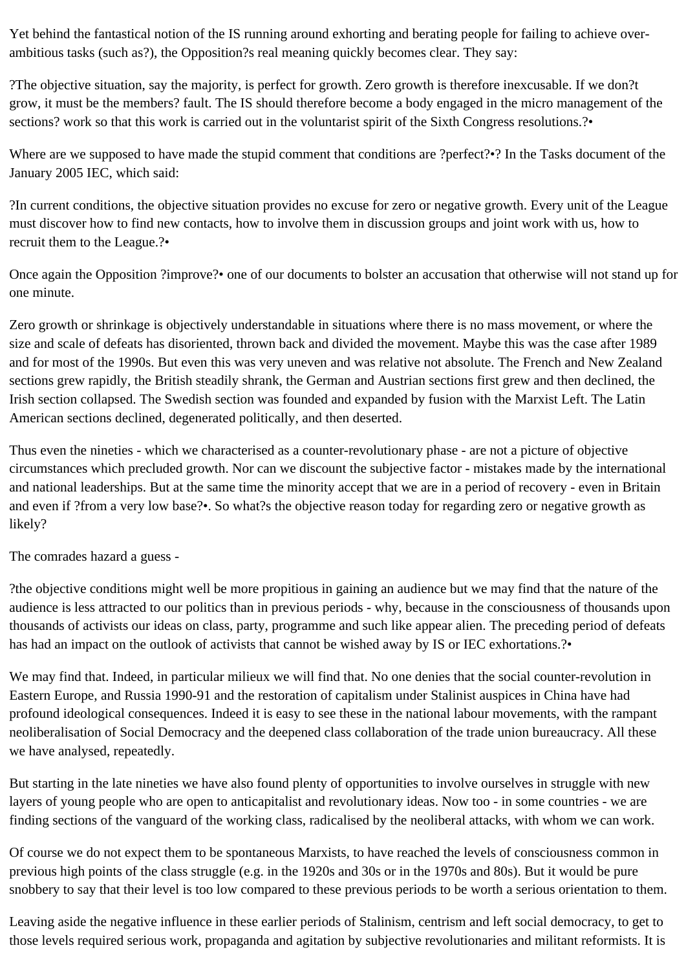Yet behind the fantastical notion of the IS running around exhorting and berating people for failing to achieve overambitious tasks (such as?), the Opposition?s real meaning quickly becomes clear. They say:

?The objective situation, say the majority, is perfect for growth. Zero growth is therefore inexcusable. If we don?t grow, it must be the members? fault. The IS should therefore become a body engaged in the micro management of the sections? work so that this work is carried out in the voluntarist spirit of the Sixth Congress resolutions.?•

Where are we supposed to have made the stupid comment that conditions are ?perfect?•? In the Tasks document of the January 2005 IEC, which said:

?In current conditions, the objective situation provides no excuse for zero or negative growth. Every unit of the League must discover how to find new contacts, how to involve them in discussion groups and joint work with us, how to recruit them to the League.?•

Once again the Opposition ?improve?• one of our documents to bolster an accusation that otherwise will not stand up for one minute.

Zero growth or shrinkage is objectively understandable in situations where there is no mass movement, or where the size and scale of defeats has disoriented, thrown back and divided the movement. Maybe this was the case after 1989 and for most of the 1990s. But even this was very uneven and was relative not absolute. The French and New Zealand sections grew rapidly, the British steadily shrank, the German and Austrian sections first grew and then declined, the Irish section collapsed. The Swedish section was founded and expanded by fusion with the Marxist Left. The Latin American sections declined, degenerated politically, and then deserted.

Thus even the nineties - which we characterised as a counter-revolutionary phase - are not a picture of objective circumstances which precluded growth. Nor can we discount the subjective factor - mistakes made by the international and national leaderships. But at the same time the minority accept that we are in a period of recovery - even in Britain and even if ?from a very low base?•. So what?s the objective reason today for regarding zero or negative growth as likely?

The comrades hazard a guess -

?the objective conditions might well be more propitious in gaining an audience but we may find that the nature of the audience is less attracted to our politics than in previous periods - why, because in the consciousness of thousands upon thousands of activists our ideas on class, party, programme and such like appear alien. The preceding period of defeats has had an impact on the outlook of activists that cannot be wished away by IS or IEC exhortations.?•

We may find that. Indeed, in particular milieux we will find that. No one denies that the social counter-revolution in Eastern Europe, and Russia 1990-91 and the restoration of capitalism under Stalinist auspices in China have had profound ideological consequences. Indeed it is easy to see these in the national labour movements, with the rampant neoliberalisation of Social Democracy and the deepened class collaboration of the trade union bureaucracy. All these we have analysed, repeatedly.

But starting in the late nineties we have also found plenty of opportunities to involve ourselves in struggle with new layers of young people who are open to anticapitalist and revolutionary ideas. Now too - in some countries - we are finding sections of the vanguard of the working class, radicalised by the neoliberal attacks, with whom we can work.

Of course we do not expect them to be spontaneous Marxists, to have reached the levels of consciousness common in previous high points of the class struggle (e.g. in the 1920s and 30s or in the 1970s and 80s). But it would be pure snobbery to say that their level is too low compared to these previous periods to be worth a serious orientation to them.

Leaving aside the negative influence in these earlier periods of Stalinism, centrism and left social democracy, to get to those levels required serious work, propaganda and agitation by subjective revolutionaries and militant reformists. It is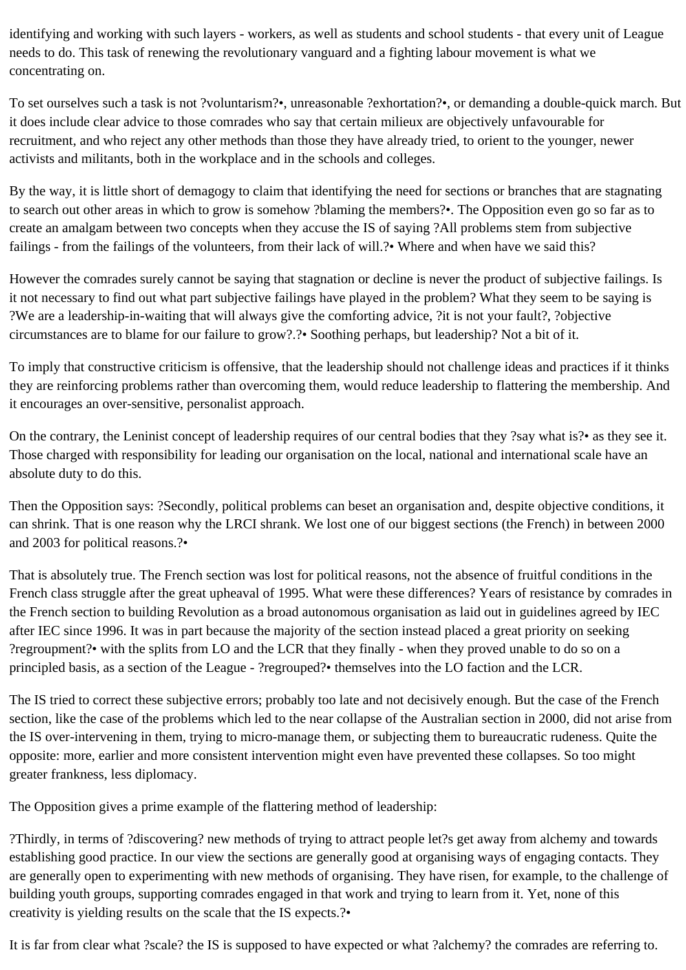identifying and working with such layers - workers, as well as students and school students - that every unit of League needs to do. This task of renewing the revolutionary vanguard and a fighting labour movement is what we concentrating on.

To set ourselves such a task is not ?voluntarism?•, unreasonable ?exhortation?•, or demanding a double-quick march. But it does include clear advice to those comrades who say that certain milieux are objectively unfavourable for recruitment, and who reject any other methods than those they have already tried, to orient to the younger, newer activists and militants, both in the workplace and in the schools and colleges.

By the way, it is little short of demagogy to claim that identifying the need for sections or branches that are stagnating to search out other areas in which to grow is somehow ?blaming the members?•. The Opposition even go so far as to create an amalgam between two concepts when they accuse the IS of saying ?All problems stem from subjective failings - from the failings of the volunteers, from their lack of will.?• Where and when have we said this?

However the comrades surely cannot be saying that stagnation or decline is never the product of subjective failings. Is it not necessary to find out what part subjective failings have played in the problem? What they seem to be saying is ?We are a leadership-in-waiting that will always give the comforting advice, ?it is not your fault?, ?objective circumstances are to blame for our failure to grow?.?• Soothing perhaps, but leadership? Not a bit of it.

To imply that constructive criticism is offensive, that the leadership should not challenge ideas and practices if it thinks they are reinforcing problems rather than overcoming them, would reduce leadership to flattering the membership. And it encourages an over-sensitive, personalist approach.

On the contrary, the Leninist concept of leadership requires of our central bodies that they ?say what is?• as they see it. Those charged with responsibility for leading our organisation on the local, national and international scale have an absolute duty to do this.

Then the Opposition says: ?Secondly, political problems can beset an organisation and, despite objective conditions, it can shrink. That is one reason why the LRCI shrank. We lost one of our biggest sections (the French) in between 2000 and 2003 for political reasons.?•

That is absolutely true. The French section was lost for political reasons, not the absence of fruitful conditions in the French class struggle after the great upheaval of 1995. What were these differences? Years of resistance by comrades in the French section to building Revolution as a broad autonomous organisation as laid out in guidelines agreed by IEC after IEC since 1996. It was in part because the majority of the section instead placed a great priority on seeking ?regroupment?• with the splits from LO and the LCR that they finally - when they proved unable to do so on a principled basis, as a section of the League - ?regrouped?• themselves into the LO faction and the LCR.

The IS tried to correct these subjective errors; probably too late and not decisively enough. But the case of the French section, like the case of the problems which led to the near collapse of the Australian section in 2000, did not arise from the IS over-intervening in them, trying to micro-manage them, or subjecting them to bureaucratic rudeness. Quite the opposite: more, earlier and more consistent intervention might even have prevented these collapses. So too might greater frankness, less diplomacy.

The Opposition gives a prime example of the flattering method of leadership:

?Thirdly, in terms of ?discovering? new methods of trying to attract people let?s get away from alchemy and towards establishing good practice. In our view the sections are generally good at organising ways of engaging contacts. They are generally open to experimenting with new methods of organising. They have risen, for example, to the challenge of building youth groups, supporting comrades engaged in that work and trying to learn from it. Yet, none of this creativity is yielding results on the scale that the IS expects.?•

It is far from clear what ?scale? the IS is supposed to have expected or what ?alchemy? the comrades are referring to.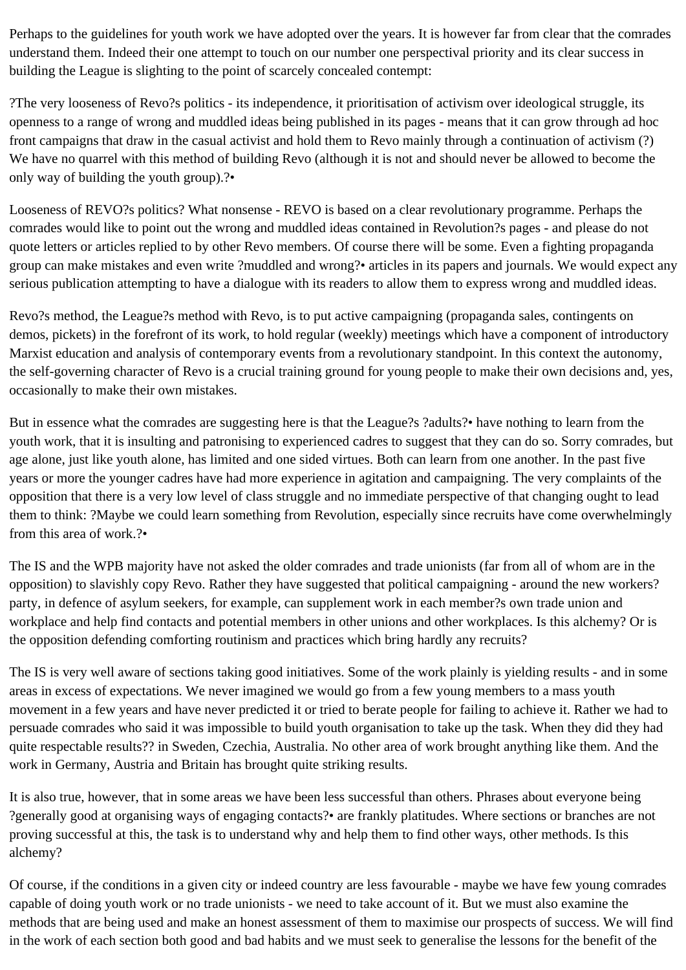Perhaps to the guidelines for youth work we have adopted over the years. It is however far from clear that the comrades understand them. Indeed their one attempt to touch on our number one perspectival priority and its clear success in building the League is slighting to the point of scarcely concealed contempt:

?The very looseness of Revo?s politics - its independence, it prioritisation of activism over ideological struggle, its openness to a range of wrong and muddled ideas being published in its pages - means that it can grow through ad hoc front campaigns that draw in the casual activist and hold them to Revo mainly through a continuation of activism (?) We have no quarrel with this method of building Revo (although it is not and should never be allowed to become the only way of building the youth group).?•

Looseness of REVO?s politics? What nonsense - REVO is based on a clear revolutionary programme. Perhaps the comrades would like to point out the wrong and muddled ideas contained in Revolution?s pages - and please do not quote letters or articles replied to by other Revo members. Of course there will be some. Even a fighting propaganda group can make mistakes and even write ?muddled and wrong?• articles in its papers and journals. We would expect any serious publication attempting to have a dialogue with its readers to allow them to express wrong and muddled ideas.

Revo?s method, the League?s method with Revo, is to put active campaigning (propaganda sales, contingents on demos, pickets) in the forefront of its work, to hold regular (weekly) meetings which have a component of introductory Marxist education and analysis of contemporary events from a revolutionary standpoint. In this context the autonomy, the self-governing character of Revo is a crucial training ground for young people to make their own decisions and, yes, occasionally to make their own mistakes.

But in essence what the comrades are suggesting here is that the League?s ?adults?• have nothing to learn from the youth work, that it is insulting and patronising to experienced cadres to suggest that they can do so. Sorry comrades, but age alone, just like youth alone, has limited and one sided virtues. Both can learn from one another. In the past five years or more the younger cadres have had more experience in agitation and campaigning. The very complaints of the opposition that there is a very low level of class struggle and no immediate perspective of that changing ought to lead them to think: ?Maybe we could learn something from Revolution, especially since recruits have come overwhelmingly from this area of work.?•

The IS and the WPB majority have not asked the older comrades and trade unionists (far from all of whom are in the opposition) to slavishly copy Revo. Rather they have suggested that political campaigning - around the new workers? party, in defence of asylum seekers, for example, can supplement work in each member?s own trade union and workplace and help find contacts and potential members in other unions and other workplaces. Is this alchemy? Or is the opposition defending comforting routinism and practices which bring hardly any recruits?

The IS is very well aware of sections taking good initiatives. Some of the work plainly is yielding results - and in some areas in excess of expectations. We never imagined we would go from a few young members to a mass youth movement in a few years and have never predicted it or tried to berate people for failing to achieve it. Rather we had to persuade comrades who said it was impossible to build youth organisation to take up the task. When they did they had quite respectable results?? in Sweden, Czechia, Australia. No other area of work brought anything like them. And the work in Germany, Austria and Britain has brought quite striking results.

It is also true, however, that in some areas we have been less successful than others. Phrases about everyone being ?generally good at organising ways of engaging contacts?• are frankly platitudes. Where sections or branches are not proving successful at this, the task is to understand why and help them to find other ways, other methods. Is this alchemy?

Of course, if the conditions in a given city or indeed country are less favourable - maybe we have few young comrades capable of doing youth work or no trade unionists - we need to take account of it. But we must also examine the methods that are being used and make an honest assessment of them to maximise our prospects of success. We will find in the work of each section both good and bad habits and we must seek to generalise the lessons for the benefit of the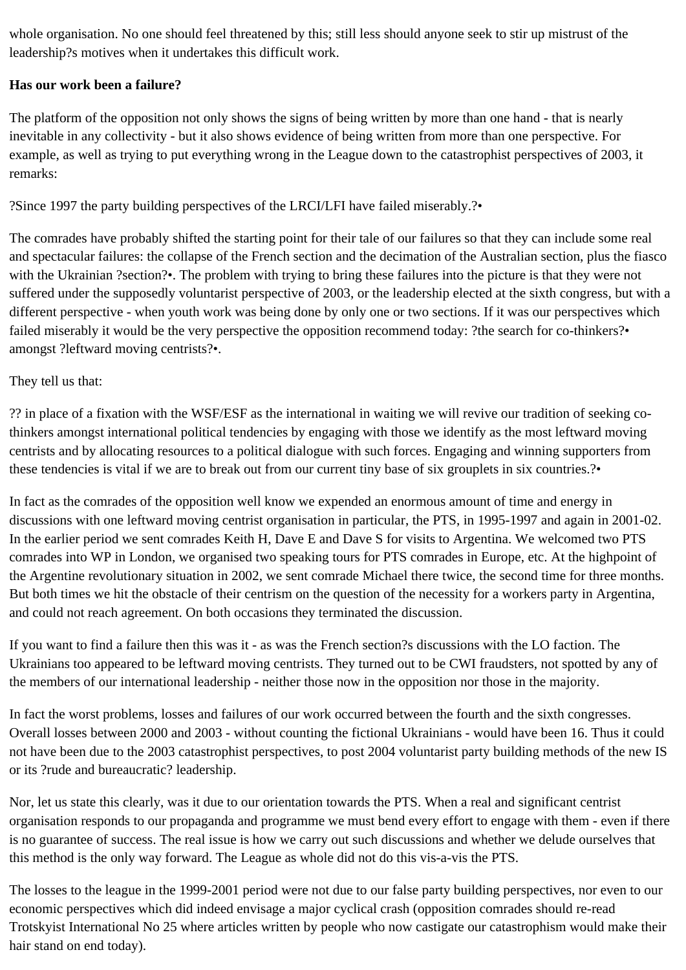whole organisation. No one should feel threatened by this; still less should anyone seek to stir up mistrust of the leadership?s motives when it undertakes this difficult work.

## **Has our work been a failure?**

The platform of the opposition not only shows the signs of being written by more than one hand - that is nearly inevitable in any collectivity - but it also shows evidence of being written from more than one perspective. For example, as well as trying to put everything wrong in the League down to the catastrophist perspectives of 2003, it remarks:

?Since 1997 the party building perspectives of the LRCI/LFI have failed miserably.?•

The comrades have probably shifted the starting point for their tale of our failures so that they can include some real and spectacular failures: the collapse of the French section and the decimation of the Australian section, plus the fiasco with the Ukrainian ?section?•. The problem with trying to bring these failures into the picture is that they were not suffered under the supposedly voluntarist perspective of 2003, or the leadership elected at the sixth congress, but with a different perspective - when youth work was being done by only one or two sections. If it was our perspectives which failed miserably it would be the very perspective the opposition recommend today: ?the search for co-thinkers?• amongst ?leftward moving centrists?•.

## They tell us that:

?? in place of a fixation with the WSF/ESF as the international in waiting we will revive our tradition of seeking cothinkers amongst international political tendencies by engaging with those we identify as the most leftward moving centrists and by allocating resources to a political dialogue with such forces. Engaging and winning supporters from these tendencies is vital if we are to break out from our current tiny base of six grouplets in six countries.?•

In fact as the comrades of the opposition well know we expended an enormous amount of time and energy in discussions with one leftward moving centrist organisation in particular, the PTS, in 1995-1997 and again in 2001-02. In the earlier period we sent comrades Keith H, Dave E and Dave S for visits to Argentina. We welcomed two PTS comrades into WP in London, we organised two speaking tours for PTS comrades in Europe, etc. At the highpoint of the Argentine revolutionary situation in 2002, we sent comrade Michael there twice, the second time for three months. But both times we hit the obstacle of their centrism on the question of the necessity for a workers party in Argentina, and could not reach agreement. On both occasions they terminated the discussion.

If you want to find a failure then this was it - as was the French section?s discussions with the LO faction. The Ukrainians too appeared to be leftward moving centrists. They turned out to be CWI fraudsters, not spotted by any of the members of our international leadership - neither those now in the opposition nor those in the majority.

In fact the worst problems, losses and failures of our work occurred between the fourth and the sixth congresses. Overall losses between 2000 and 2003 - without counting the fictional Ukrainians - would have been 16. Thus it could not have been due to the 2003 catastrophist perspectives, to post 2004 voluntarist party building methods of the new IS or its ?rude and bureaucratic? leadership.

Nor, let us state this clearly, was it due to our orientation towards the PTS. When a real and significant centrist organisation responds to our propaganda and programme we must bend every effort to engage with them - even if there is no guarantee of success. The real issue is how we carry out such discussions and whether we delude ourselves that this method is the only way forward. The League as whole did not do this vis-a-vis the PTS.

The losses to the league in the 1999-2001 period were not due to our false party building perspectives, nor even to our economic perspectives which did indeed envisage a major cyclical crash (opposition comrades should re-read Trotskyist International No 25 where articles written by people who now castigate our catastrophism would make their hair stand on end today).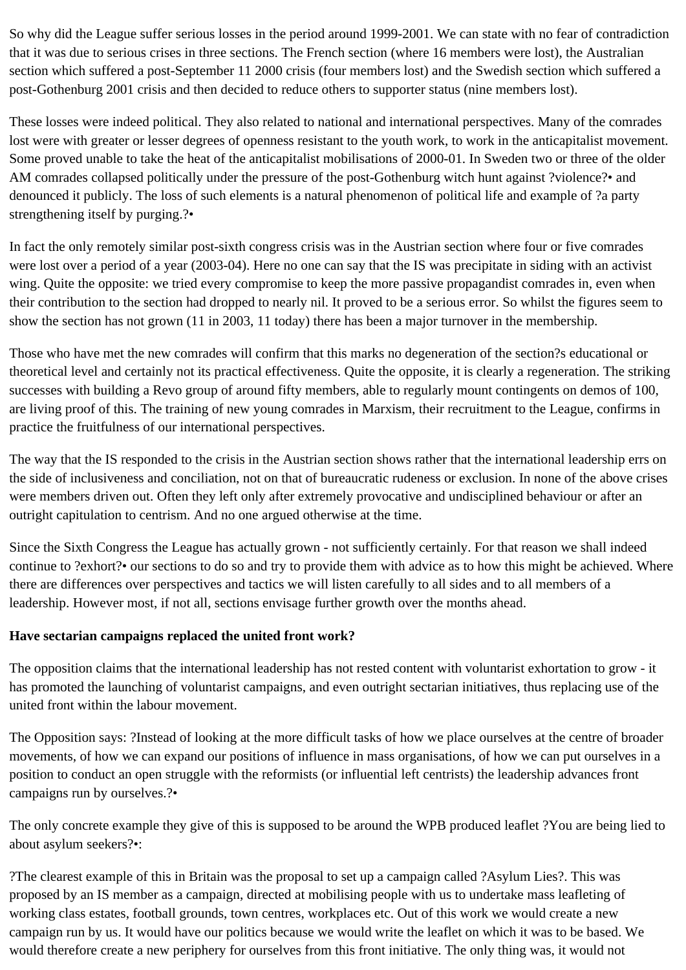So why did the League suffer serious losses in the period around 1999-2001. We can state with no fear of contradiction that it was due to serious crises in three sections. The French section (where 16 members were lost), the Australian section which suffered a post-September 11 2000 crisis (four members lost) and the Swedish section which suffered a post-Gothenburg 2001 crisis and then decided to reduce others to supporter status (nine members lost).

These losses were indeed political. They also related to national and international perspectives. Many of the comrades lost were with greater or lesser degrees of openness resistant to the youth work, to work in the anticapitalist movement. Some proved unable to take the heat of the anticapitalist mobilisations of 2000-01. In Sweden two or three of the older AM comrades collapsed politically under the pressure of the post-Gothenburg witch hunt against ?violence?• and denounced it publicly. The loss of such elements is a natural phenomenon of political life and example of ?a party strengthening itself by purging.?•

In fact the only remotely similar post-sixth congress crisis was in the Austrian section where four or five comrades were lost over a period of a year (2003-04). Here no one can say that the IS was precipitate in siding with an activist wing. Quite the opposite: we tried every compromise to keep the more passive propagandist comrades in, even when their contribution to the section had dropped to nearly nil. It proved to be a serious error. So whilst the figures seem to show the section has not grown (11 in 2003, 11 today) there has been a major turnover in the membership.

Those who have met the new comrades will confirm that this marks no degeneration of the section?s educational or theoretical level and certainly not its practical effectiveness. Quite the opposite, it is clearly a regeneration. The striking successes with building a Revo group of around fifty members, able to regularly mount contingents on demos of 100, are living proof of this. The training of new young comrades in Marxism, their recruitment to the League, confirms in practice the fruitfulness of our international perspectives.

The way that the IS responded to the crisis in the Austrian section shows rather that the international leadership errs on the side of inclusiveness and conciliation, not on that of bureaucratic rudeness or exclusion. In none of the above crises were members driven out. Often they left only after extremely provocative and undisciplined behaviour or after an outright capitulation to centrism. And no one argued otherwise at the time.

Since the Sixth Congress the League has actually grown - not sufficiently certainly. For that reason we shall indeed continue to ?exhort?• our sections to do so and try to provide them with advice as to how this might be achieved. Where there are differences over perspectives and tactics we will listen carefully to all sides and to all members of a leadership. However most, if not all, sections envisage further growth over the months ahead.

## **Have sectarian campaigns replaced the united front work?**

The opposition claims that the international leadership has not rested content with voluntarist exhortation to grow - it has promoted the launching of voluntarist campaigns, and even outright sectarian initiatives, thus replacing use of the united front within the labour movement.

The Opposition says: ?Instead of looking at the more difficult tasks of how we place ourselves at the centre of broader movements, of how we can expand our positions of influence in mass organisations, of how we can put ourselves in a position to conduct an open struggle with the reformists (or influential left centrists) the leadership advances front campaigns run by ourselves.?•

The only concrete example they give of this is supposed to be around the WPB produced leaflet ?You are being lied to about asylum seekers?•:

?The clearest example of this in Britain was the proposal to set up a campaign called ?Asylum Lies?. This was proposed by an IS member as a campaign, directed at mobilising people with us to undertake mass leafleting of working class estates, football grounds, town centres, workplaces etc. Out of this work we would create a new campaign run by us. It would have our politics because we would write the leaflet on which it was to be based. We would therefore create a new periphery for ourselves from this front initiative. The only thing was, it would not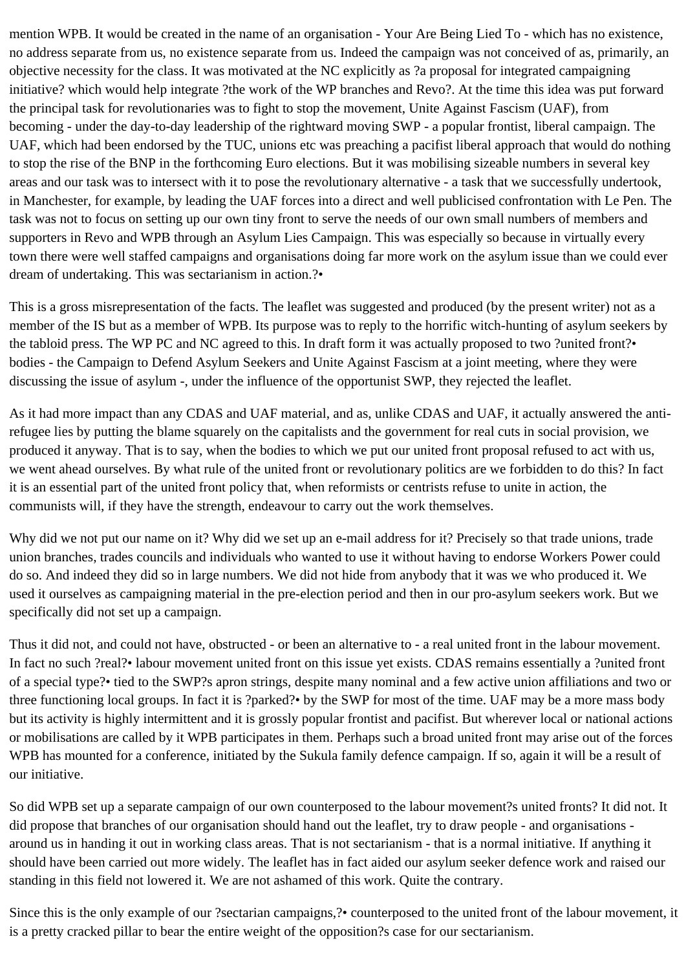mention WPB. It would be created in the name of an organisation - Your Are Being Lied To - which has no existence, no address separate from us, no existence separate from us. Indeed the campaign was not conceived of as, primarily, an objective necessity for the class. It was motivated at the NC explicitly as ?a proposal for integrated campaigning initiative? which would help integrate ?the work of the WP branches and Revo?. At the time this idea was put forward the principal task for revolutionaries was to fight to stop the movement, Unite Against Fascism (UAF), from becoming - under the day-to-day leadership of the rightward moving SWP - a popular frontist, liberal campaign. The UAF, which had been endorsed by the TUC, unions etc was preaching a pacifist liberal approach that would do nothing to stop the rise of the BNP in the forthcoming Euro elections. But it was mobilising sizeable numbers in several key areas and our task was to intersect with it to pose the revolutionary alternative - a task that we successfully undertook, in Manchester, for example, by leading the UAF forces into a direct and well publicised confrontation with Le Pen. The task was not to focus on setting up our own tiny front to serve the needs of our own small numbers of members and supporters in Revo and WPB through an Asylum Lies Campaign. This was especially so because in virtually every town there were well staffed campaigns and organisations doing far more work on the asylum issue than we could ever dream of undertaking. This was sectarianism in action.?•

This is a gross misrepresentation of the facts. The leaflet was suggested and produced (by the present writer) not as a member of the IS but as a member of WPB. Its purpose was to reply to the horrific witch-hunting of asylum seekers by the tabloid press. The WP PC and NC agreed to this. In draft form it was actually proposed to two ?united front?• bodies - the Campaign to Defend Asylum Seekers and Unite Against Fascism at a joint meeting, where they were discussing the issue of asylum -, under the influence of the opportunist SWP, they rejected the leaflet.

As it had more impact than any CDAS and UAF material, and as, unlike CDAS and UAF, it actually answered the antirefugee lies by putting the blame squarely on the capitalists and the government for real cuts in social provision, we produced it anyway. That is to say, when the bodies to which we put our united front proposal refused to act with us, we went ahead ourselves. By what rule of the united front or revolutionary politics are we forbidden to do this? In fact it is an essential part of the united front policy that, when reformists or centrists refuse to unite in action, the communists will, if they have the strength, endeavour to carry out the work themselves.

Why did we not put our name on it? Why did we set up an e-mail address for it? Precisely so that trade unions, trade union branches, trades councils and individuals who wanted to use it without having to endorse Workers Power could do so. And indeed they did so in large numbers. We did not hide from anybody that it was we who produced it. We used it ourselves as campaigning material in the pre-election period and then in our pro-asylum seekers work. But we specifically did not set up a campaign.

Thus it did not, and could not have, obstructed - or been an alternative to - a real united front in the labour movement. In fact no such ?real?• labour movement united front on this issue yet exists. CDAS remains essentially a ?united front of a special type?• tied to the SWP?s apron strings, despite many nominal and a few active union affiliations and two or three functioning local groups. In fact it is ?parked?• by the SWP for most of the time. UAF may be a more mass body but its activity is highly intermittent and it is grossly popular frontist and pacifist. But wherever local or national actions or mobilisations are called by it WPB participates in them. Perhaps such a broad united front may arise out of the forces WPB has mounted for a conference, initiated by the Sukula family defence campaign. If so, again it will be a result of our initiative.

So did WPB set up a separate campaign of our own counterposed to the labour movement?s united fronts? It did not. It did propose that branches of our organisation should hand out the leaflet, try to draw people - and organisations around us in handing it out in working class areas. That is not sectarianism - that is a normal initiative. If anything it should have been carried out more widely. The leaflet has in fact aided our asylum seeker defence work and raised our standing in this field not lowered it. We are not ashamed of this work. Quite the contrary.

Since this is the only example of our ?sectarian campaigns,?• counterposed to the united front of the labour movement, it is a pretty cracked pillar to bear the entire weight of the opposition?s case for our sectarianism.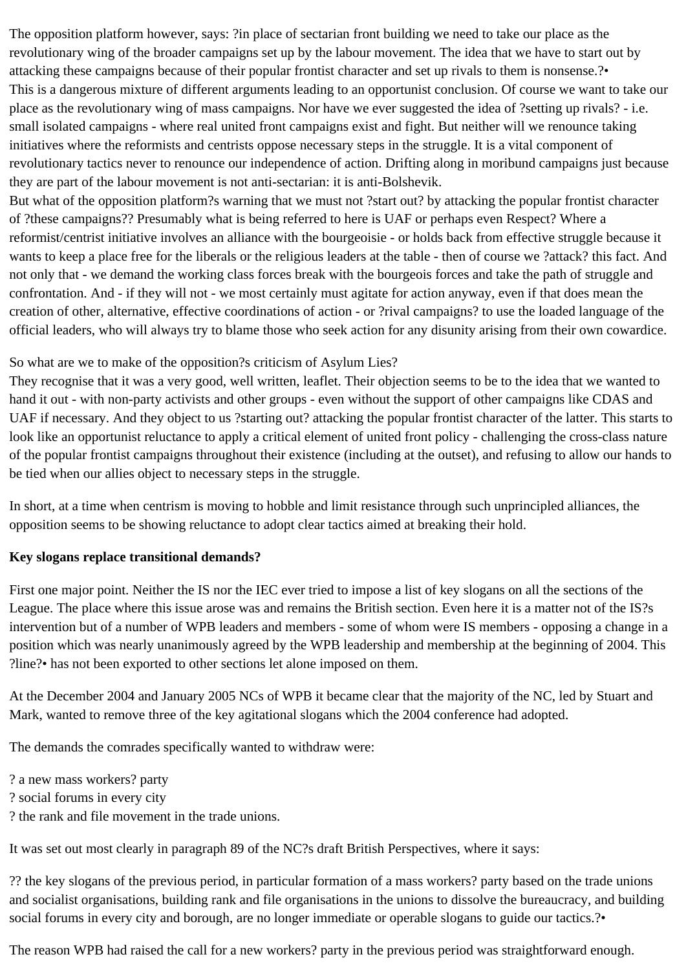The opposition platform however, says: ?in place of sectarian front building we need to take our place as the revolutionary wing of the broader campaigns set up by the labour movement. The idea that we have to start out by attacking these campaigns because of their popular frontist character and set up rivals to them is nonsense.?• This is a dangerous mixture of different arguments leading to an opportunist conclusion. Of course we want to take our place as the revolutionary wing of mass campaigns. Nor have we ever suggested the idea of ?setting up rivals? - i.e. small isolated campaigns - where real united front campaigns exist and fight. But neither will we renounce taking initiatives where the reformists and centrists oppose necessary steps in the struggle. It is a vital component of revolutionary tactics never to renounce our independence of action. Drifting along in moribund campaigns just because they are part of the labour movement is not anti-sectarian: it is anti-Bolshevik.

But what of the opposition platform?s warning that we must not ?start out? by attacking the popular frontist character of ?these campaigns?? Presumably what is being referred to here is UAF or perhaps even Respect? Where a reformist/centrist initiative involves an alliance with the bourgeoisie - or holds back from effective struggle because it wants to keep a place free for the liberals or the religious leaders at the table - then of course we ?attack? this fact. And not only that - we demand the working class forces break with the bourgeois forces and take the path of struggle and confrontation. And - if they will not - we most certainly must agitate for action anyway, even if that does mean the creation of other, alternative, effective coordinations of action - or ?rival campaigns? to use the loaded language of the official leaders, who will always try to blame those who seek action for any disunity arising from their own cowardice.

#### So what are we to make of the opposition?s criticism of Asylum Lies?

They recognise that it was a very good, well written, leaflet. Their objection seems to be to the idea that we wanted to hand it out - with non-party activists and other groups - even without the support of other campaigns like CDAS and UAF if necessary. And they object to us ?starting out? attacking the popular frontist character of the latter. This starts to look like an opportunist reluctance to apply a critical element of united front policy - challenging the cross-class nature of the popular frontist campaigns throughout their existence (including at the outset), and refusing to allow our hands to be tied when our allies object to necessary steps in the struggle.

In short, at a time when centrism is moving to hobble and limit resistance through such unprincipled alliances, the opposition seems to be showing reluctance to adopt clear tactics aimed at breaking their hold.

#### **Key slogans replace transitional demands?**

First one major point. Neither the IS nor the IEC ever tried to impose a list of key slogans on all the sections of the League. The place where this issue arose was and remains the British section. Even here it is a matter not of the IS?s intervention but of a number of WPB leaders and members - some of whom were IS members - opposing a change in a position which was nearly unanimously agreed by the WPB leadership and membership at the beginning of 2004. This ?line?• has not been exported to other sections let alone imposed on them.

At the December 2004 and January 2005 NCs of WPB it became clear that the majority of the NC, led by Stuart and Mark, wanted to remove three of the key agitational slogans which the 2004 conference had adopted.

The demands the comrades specifically wanted to withdraw were:

? a new mass workers? party

? social forums in every city

? the rank and file movement in the trade unions.

It was set out most clearly in paragraph 89 of the NC?s draft British Perspectives, where it says:

?? the key slogans of the previous period, in particular formation of a mass workers? party based on the trade unions and socialist organisations, building rank and file organisations in the unions to dissolve the bureaucracy, and building social forums in every city and borough, are no longer immediate or operable slogans to guide our tactics.?•

The reason WPB had raised the call for a new workers? party in the previous period was straightforward enough.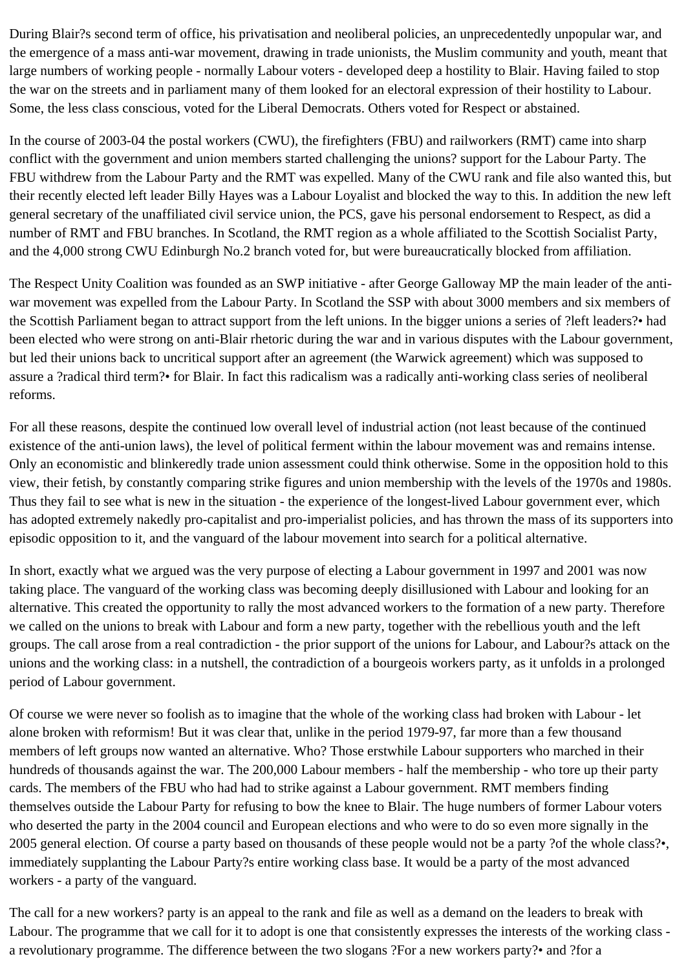During Blair?s second term of office, his privatisation and neoliberal policies, an unprecedentedly unpopular war, and the emergence of a mass anti-war movement, drawing in trade unionists, the Muslim community and youth, meant that large numbers of working people - normally Labour voters - developed deep a hostility to Blair. Having failed to stop the war on the streets and in parliament many of them looked for an electoral expression of their hostility to Labour. Some, the less class conscious, voted for the Liberal Democrats. Others voted for Respect or abstained.

In the course of 2003-04 the postal workers (CWU), the firefighters (FBU) and railworkers (RMT) came into sharp conflict with the government and union members started challenging the unions? support for the Labour Party. The FBU withdrew from the Labour Party and the RMT was expelled. Many of the CWU rank and file also wanted this, but their recently elected left leader Billy Hayes was a Labour Loyalist and blocked the way to this. In addition the new left general secretary of the unaffiliated civil service union, the PCS, gave his personal endorsement to Respect, as did a number of RMT and FBU branches. In Scotland, the RMT region as a whole affiliated to the Scottish Socialist Party, and the 4,000 strong CWU Edinburgh No.2 branch voted for, but were bureaucratically blocked from affiliation.

The Respect Unity Coalition was founded as an SWP initiative - after George Galloway MP the main leader of the antiwar movement was expelled from the Labour Party. In Scotland the SSP with about 3000 members and six members of the Scottish Parliament began to attract support from the left unions. In the bigger unions a series of ?left leaders?• had been elected who were strong on anti-Blair rhetoric during the war and in various disputes with the Labour government, but led their unions back to uncritical support after an agreement (the Warwick agreement) which was supposed to assure a ?radical third term?• for Blair. In fact this radicalism was a radically anti-working class series of neoliberal reforms.

For all these reasons, despite the continued low overall level of industrial action (not least because of the continued existence of the anti-union laws), the level of political ferment within the labour movement was and remains intense. Only an economistic and blinkeredly trade union assessment could think otherwise. Some in the opposition hold to this view, their fetish, by constantly comparing strike figures and union membership with the levels of the 1970s and 1980s. Thus they fail to see what is new in the situation - the experience of the longest-lived Labour government ever, which has adopted extremely nakedly pro-capitalist and pro-imperialist policies, and has thrown the mass of its supporters into episodic opposition to it, and the vanguard of the labour movement into search for a political alternative.

In short, exactly what we argued was the very purpose of electing a Labour government in 1997 and 2001 was now taking place. The vanguard of the working class was becoming deeply disillusioned with Labour and looking for an alternative. This created the opportunity to rally the most advanced workers to the formation of a new party. Therefore we called on the unions to break with Labour and form a new party, together with the rebellious youth and the left groups. The call arose from a real contradiction - the prior support of the unions for Labour, and Labour?s attack on the unions and the working class: in a nutshell, the contradiction of a bourgeois workers party, as it unfolds in a prolonged period of Labour government.

Of course we were never so foolish as to imagine that the whole of the working class had broken with Labour - let alone broken with reformism! But it was clear that, unlike in the period 1979-97, far more than a few thousand members of left groups now wanted an alternative. Who? Those erstwhile Labour supporters who marched in their hundreds of thousands against the war. The 200,000 Labour members - half the membership - who tore up their party cards. The members of the FBU who had had to strike against a Labour government. RMT members finding themselves outside the Labour Party for refusing to bow the knee to Blair. The huge numbers of former Labour voters who deserted the party in the 2004 council and European elections and who were to do so even more signally in the 2005 general election. Of course a party based on thousands of these people would not be a party ?of the whole class?•, immediately supplanting the Labour Party?s entire working class base. It would be a party of the most advanced workers - a party of the vanguard.

The call for a new workers? party is an appeal to the rank and file as well as a demand on the leaders to break with Labour. The programme that we call for it to adopt is one that consistently expresses the interests of the working class a revolutionary programme. The difference between the two slogans ?For a new workers party?• and ?for a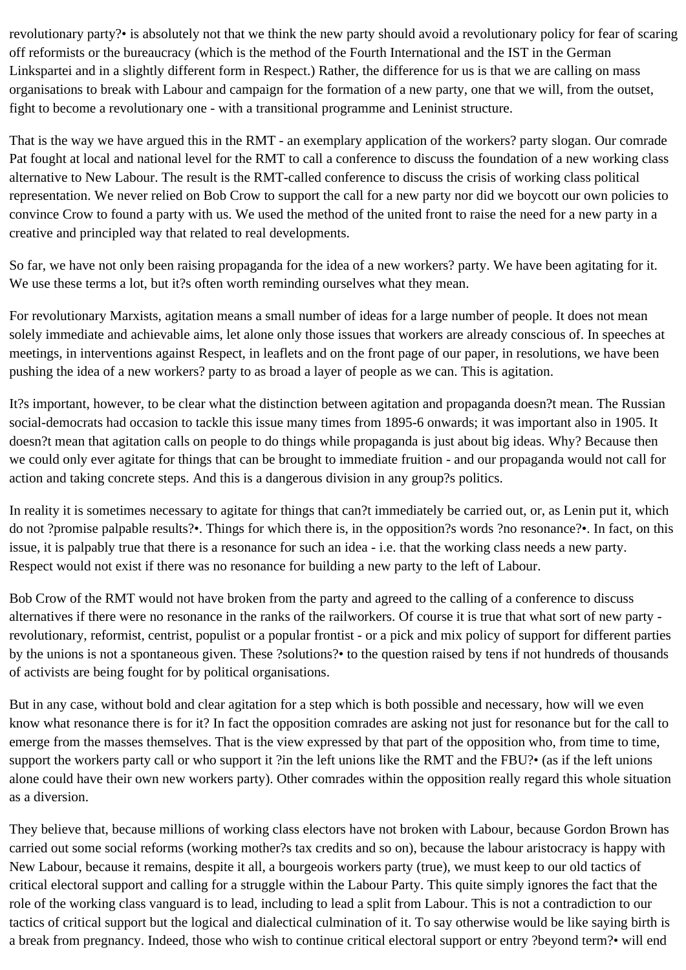revolutionary party?• is absolutely not that we think the new party should avoid a revolutionary policy for fear of scaring off reformists or the bureaucracy (which is the method of the Fourth International and the IST in the German Linkspartei and in a slightly different form in Respect.) Rather, the difference for us is that we are calling on mass organisations to break with Labour and campaign for the formation of a new party, one that we will, from the outset, fight to become a revolutionary one - with a transitional programme and Leninist structure.

That is the way we have argued this in the RMT - an exemplary application of the workers? party slogan. Our comrade Pat fought at local and national level for the RMT to call a conference to discuss the foundation of a new working class alternative to New Labour. The result is the RMT-called conference to discuss the crisis of working class political representation. We never relied on Bob Crow to support the call for a new party nor did we boycott our own policies to convince Crow to found a party with us. We used the method of the united front to raise the need for a new party in a creative and principled way that related to real developments.

So far, we have not only been raising propaganda for the idea of a new workers? party. We have been agitating for it. We use these terms a lot, but it?s often worth reminding ourselves what they mean.

For revolutionary Marxists, agitation means a small number of ideas for a large number of people. It does not mean solely immediate and achievable aims, let alone only those issues that workers are already conscious of. In speeches at meetings, in interventions against Respect, in leaflets and on the front page of our paper, in resolutions, we have been pushing the idea of a new workers? party to as broad a layer of people as we can. This is agitation.

It?s important, however, to be clear what the distinction between agitation and propaganda doesn?t mean. The Russian social-democrats had occasion to tackle this issue many times from 1895-6 onwards; it was important also in 1905. It doesn?t mean that agitation calls on people to do things while propaganda is just about big ideas. Why? Because then we could only ever agitate for things that can be brought to immediate fruition - and our propaganda would not call for action and taking concrete steps. And this is a dangerous division in any group?s politics.

In reality it is sometimes necessary to agitate for things that can?t immediately be carried out, or, as Lenin put it, which do not ?promise palpable results?•. Things for which there is, in the opposition?s words ?no resonance?•. In fact, on this issue, it is palpably true that there is a resonance for such an idea - i.e. that the working class needs a new party. Respect would not exist if there was no resonance for building a new party to the left of Labour.

Bob Crow of the RMT would not have broken from the party and agreed to the calling of a conference to discuss alternatives if there were no resonance in the ranks of the railworkers. Of course it is true that what sort of new party revolutionary, reformist, centrist, populist or a popular frontist - or a pick and mix policy of support for different parties by the unions is not a spontaneous given. These ?solutions?• to the question raised by tens if not hundreds of thousands of activists are being fought for by political organisations.

But in any case, without bold and clear agitation for a step which is both possible and necessary, how will we even know what resonance there is for it? In fact the opposition comrades are asking not just for resonance but for the call to emerge from the masses themselves. That is the view expressed by that part of the opposition who, from time to time, support the workers party call or who support it ?in the left unions like the RMT and the FBU?• (as if the left unions alone could have their own new workers party). Other comrades within the opposition really regard this whole situation as a diversion.

They believe that, because millions of working class electors have not broken with Labour, because Gordon Brown has carried out some social reforms (working mother?s tax credits and so on), because the labour aristocracy is happy with New Labour, because it remains, despite it all, a bourgeois workers party (true), we must keep to our old tactics of critical electoral support and calling for a struggle within the Labour Party. This quite simply ignores the fact that the role of the working class vanguard is to lead, including to lead a split from Labour. This is not a contradiction to our tactics of critical support but the logical and dialectical culmination of it. To say otherwise would be like saying birth is a break from pregnancy. Indeed, those who wish to continue critical electoral support or entry ?beyond term?• will end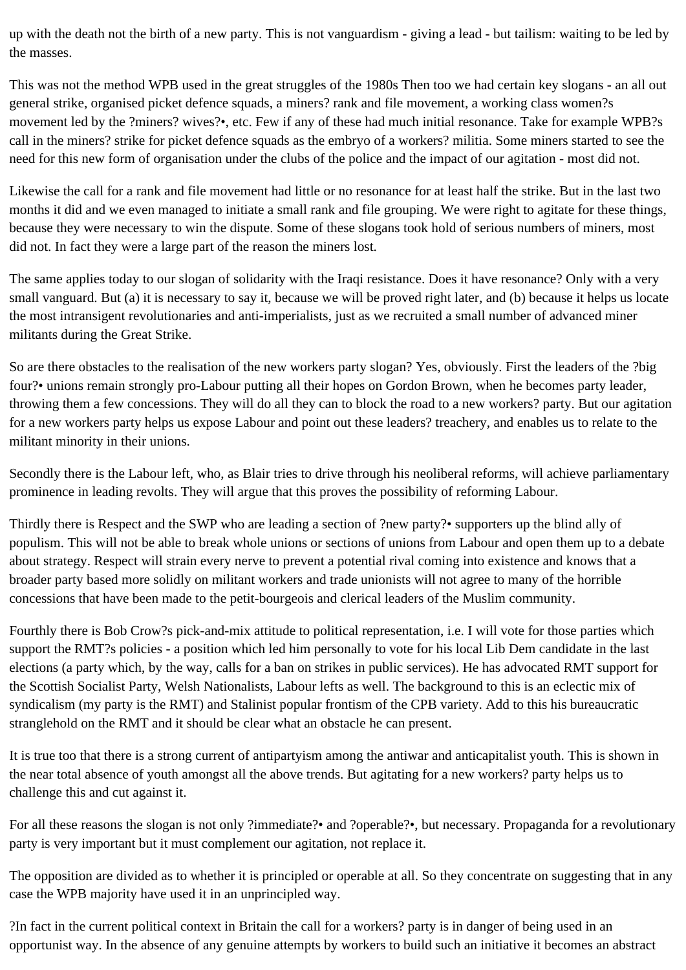up with the death not the birth of a new party. This is not vanguardism - giving a lead - but tailism: waiting to be led by the masses.

This was not the method WPB used in the great struggles of the 1980s Then too we had certain key slogans - an all out general strike, organised picket defence squads, a miners? rank and file movement, a working class women?s movement led by the ?miners? wives?•, etc. Few if any of these had much initial resonance. Take for example WPB?s call in the miners? strike for picket defence squads as the embryo of a workers? militia. Some miners started to see the need for this new form of organisation under the clubs of the police and the impact of our agitation - most did not.

Likewise the call for a rank and file movement had little or no resonance for at least half the strike. But in the last two months it did and we even managed to initiate a small rank and file grouping. We were right to agitate for these things, because they were necessary to win the dispute. Some of these slogans took hold of serious numbers of miners, most did not. In fact they were a large part of the reason the miners lost.

The same applies today to our slogan of solidarity with the Iraqi resistance. Does it have resonance? Only with a very small vanguard. But (a) it is necessary to say it, because we will be proved right later, and (b) because it helps us locate the most intransigent revolutionaries and anti-imperialists, just as we recruited a small number of advanced miner militants during the Great Strike.

So are there obstacles to the realisation of the new workers party slogan? Yes, obviously. First the leaders of the ?big four?• unions remain strongly pro-Labour putting all their hopes on Gordon Brown, when he becomes party leader, throwing them a few concessions. They will do all they can to block the road to a new workers? party. But our agitation for a new workers party helps us expose Labour and point out these leaders? treachery, and enables us to relate to the militant minority in their unions.

Secondly there is the Labour left, who, as Blair tries to drive through his neoliberal reforms, will achieve parliamentary prominence in leading revolts. They will argue that this proves the possibility of reforming Labour.

Thirdly there is Respect and the SWP who are leading a section of ?new party?• supporters up the blind ally of populism. This will not be able to break whole unions or sections of unions from Labour and open them up to a debate about strategy. Respect will strain every nerve to prevent a potential rival coming into existence and knows that a broader party based more solidly on militant workers and trade unionists will not agree to many of the horrible concessions that have been made to the petit-bourgeois and clerical leaders of the Muslim community.

Fourthly there is Bob Crow?s pick-and-mix attitude to political representation, i.e. I will vote for those parties which support the RMT?s policies - a position which led him personally to vote for his local Lib Dem candidate in the last elections (a party which, by the way, calls for a ban on strikes in public services). He has advocated RMT support for the Scottish Socialist Party, Welsh Nationalists, Labour lefts as well. The background to this is an eclectic mix of syndicalism (my party is the RMT) and Stalinist popular frontism of the CPB variety. Add to this his bureaucratic stranglehold on the RMT and it should be clear what an obstacle he can present.

It is true too that there is a strong current of antipartyism among the antiwar and anticapitalist youth. This is shown in the near total absence of youth amongst all the above trends. But agitating for a new workers? party helps us to challenge this and cut against it.

For all these reasons the slogan is not only ?immediate?• and ?operable?•, but necessary. Propaganda for a revolutionary party is very important but it must complement our agitation, not replace it.

The opposition are divided as to whether it is principled or operable at all. So they concentrate on suggesting that in any case the WPB majority have used it in an unprincipled way.

?In fact in the current political context in Britain the call for a workers? party is in danger of being used in an opportunist way. In the absence of any genuine attempts by workers to build such an initiative it becomes an abstract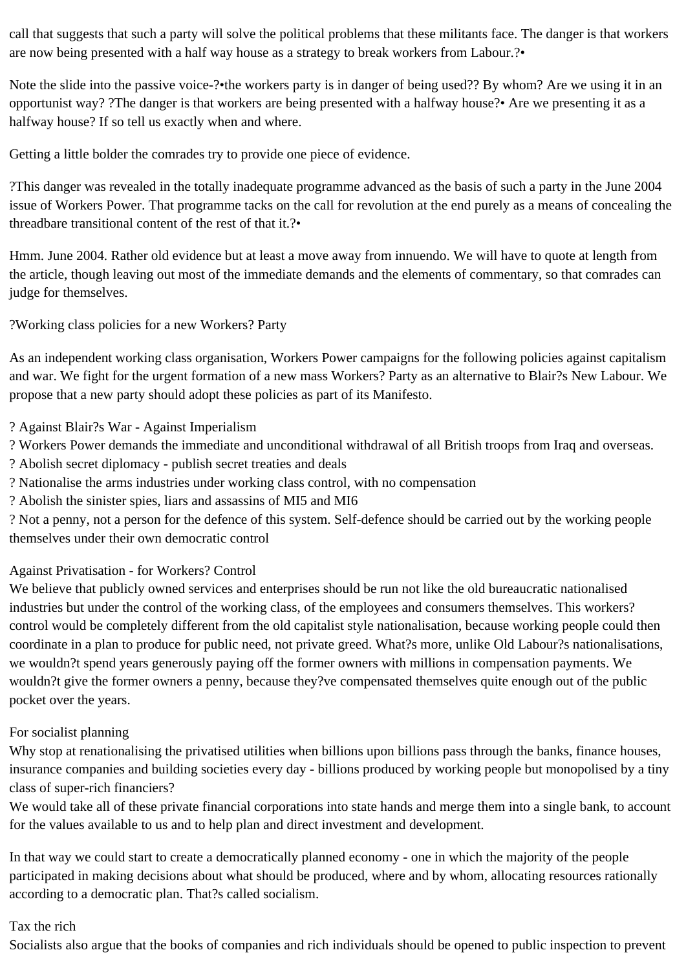call that suggests that such a party will solve the political problems that these militants face. The danger is that workers are now being presented with a half way house as a strategy to break workers from Labour.?•

Note the slide into the passive voice-?•the workers party is in danger of being used?? By whom? Are we using it in an opportunist way? ?The danger is that workers are being presented with a halfway house?• Are we presenting it as a halfway house? If so tell us exactly when and where.

Getting a little bolder the comrades try to provide one piece of evidence.

?This danger was revealed in the totally inadequate programme advanced as the basis of such a party in the June 2004 issue of Workers Power. That programme tacks on the call for revolution at the end purely as a means of concealing the threadbare transitional content of the rest of that it.?•

Hmm. June 2004. Rather old evidence but at least a move away from innuendo. We will have to quote at length from the article, though leaving out most of the immediate demands and the elements of commentary, so that comrades can judge for themselves.

?Working class policies for a new Workers? Party

As an independent working class organisation, Workers Power campaigns for the following policies against capitalism and war. We fight for the urgent formation of a new mass Workers? Party as an alternative to Blair?s New Labour. We propose that a new party should adopt these policies as part of its Manifesto.

- ? Against Blair?s War Against Imperialism
- ? Workers Power demands the immediate and unconditional withdrawal of all British troops from Iraq and overseas.
- ? Abolish secret diplomacy publish secret treaties and deals
- ? Nationalise the arms industries under working class control, with no compensation

? Abolish the sinister spies, liars and assassins of MI5 and MI6

? Not a penny, not a person for the defence of this system. Self-defence should be carried out by the working people themselves under their own democratic control

## Against Privatisation - for Workers? Control

We believe that publicly owned services and enterprises should be run not like the old bureaucratic nationalised industries but under the control of the working class, of the employees and consumers themselves. This workers? control would be completely different from the old capitalist style nationalisation, because working people could then coordinate in a plan to produce for public need, not private greed. What?s more, unlike Old Labour?s nationalisations, we wouldn?t spend years generously paying off the former owners with millions in compensation payments. We wouldn?t give the former owners a penny, because they?ve compensated themselves quite enough out of the public pocket over the years.

## For socialist planning

Why stop at renationalising the privatised utilities when billions upon billions pass through the banks, finance houses, insurance companies and building societies every day - billions produced by working people but monopolised by a tiny class of super-rich financiers?

We would take all of these private financial corporations into state hands and merge them into a single bank, to account for the values available to us and to help plan and direct investment and development.

In that way we could start to create a democratically planned economy - one in which the majority of the people participated in making decisions about what should be produced, where and by whom, allocating resources rationally according to a democratic plan. That?s called socialism.

#### Tax the rich

Socialists also argue that the books of companies and rich individuals should be opened to public inspection to prevent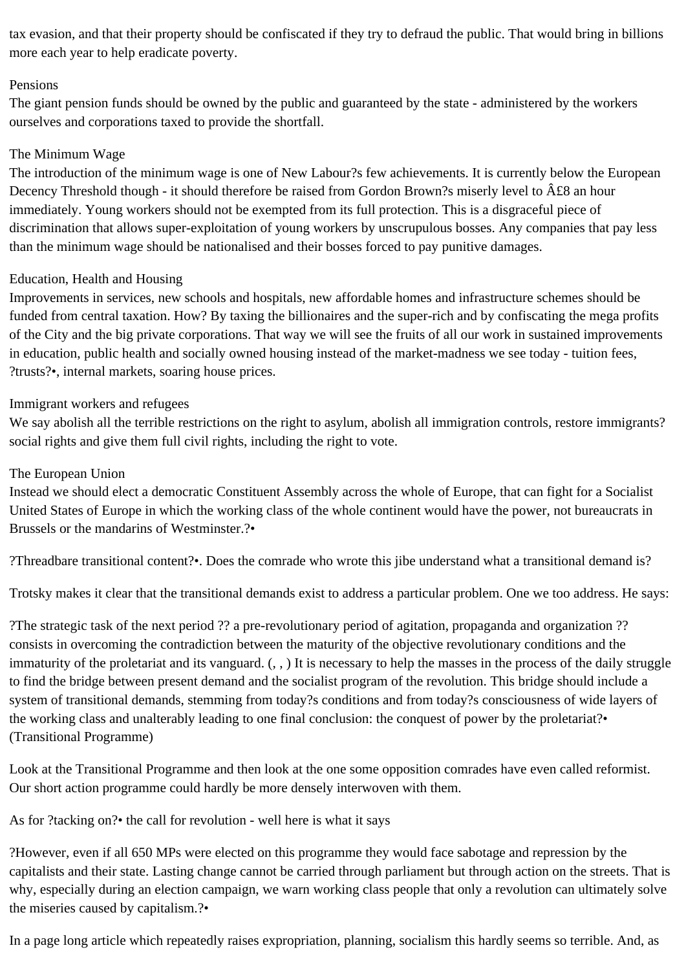tax evasion, and that their property should be confiscated if they try to defraud the public. That would bring in billions more each year to help eradicate poverty.

#### Pensions

The giant pension funds should be owned by the public and guaranteed by the state - administered by the workers ourselves and corporations taxed to provide the shortfall.

#### The Minimum Wage

The introduction of the minimum wage is one of New Labour?s few achievements. It is currently below the European Decency Threshold though - it should therefore be raised from Gordon Brown?s miserly level to  $\hat{A} \mathcal{L}8$  an hour immediately. Young workers should not be exempted from its full protection. This is a disgraceful piece of discrimination that allows super-exploitation of young workers by unscrupulous bosses. Any companies that pay less than the minimum wage should be nationalised and their bosses forced to pay punitive damages.

#### Education, Health and Housing

Improvements in services, new schools and hospitals, new affordable homes and infrastructure schemes should be funded from central taxation. How? By taxing the billionaires and the super-rich and by confiscating the mega profits of the City and the big private corporations. That way we will see the fruits of all our work in sustained improvements in education, public health and socially owned housing instead of the market-madness we see today - tuition fees, ?trusts?•, internal markets, soaring house prices.

#### Immigrant workers and refugees

We say abolish all the terrible restrictions on the right to asylum, abolish all immigration controls, restore immigrants? social rights and give them full civil rights, including the right to vote.

#### The European Union

Instead we should elect a democratic Constituent Assembly across the whole of Europe, that can fight for a Socialist United States of Europe in which the working class of the whole continent would have the power, not bureaucrats in Brussels or the mandarins of Westminster.?•

?Threadbare transitional content?•. Does the comrade who wrote this jibe understand what a transitional demand is?

Trotsky makes it clear that the transitional demands exist to address a particular problem. One we too address. He says:

?The strategic task of the next period ?? a pre-revolutionary period of agitation, propaganda and organization ?? consists in overcoming the contradiction between the maturity of the objective revolutionary conditions and the immaturity of the proletariat and its vanguard. (, , ) It is necessary to help the masses in the process of the daily struggle to find the bridge between present demand and the socialist program of the revolution. This bridge should include a system of transitional demands, stemming from today?s conditions and from today?s consciousness of wide layers of the working class and unalterably leading to one final conclusion: the conquest of power by the proletariat?• (Transitional Programme)

Look at the Transitional Programme and then look at the one some opposition comrades have even called reformist. Our short action programme could hardly be more densely interwoven with them.

As for ?tacking on?• the call for revolution - well here is what it says

?However, even if all 650 MPs were elected on this programme they would face sabotage and repression by the capitalists and their state. Lasting change cannot be carried through parliament but through action on the streets. That is why, especially during an election campaign, we warn working class people that only a revolution can ultimately solve the miseries caused by capitalism.?•

In a page long article which repeatedly raises expropriation, planning, socialism this hardly seems so terrible. And, as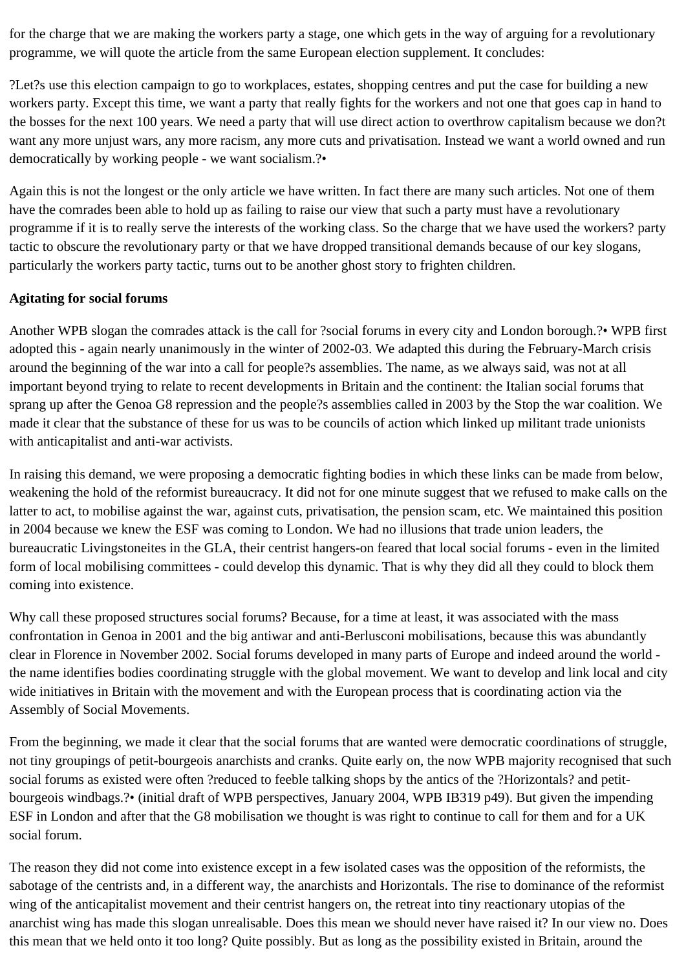for the charge that we are making the workers party a stage, one which gets in the way of arguing for a revolutionary programme, we will quote the article from the same European election supplement. It concludes:

?Let?s use this election campaign to go to workplaces, estates, shopping centres and put the case for building a new workers party. Except this time, we want a party that really fights for the workers and not one that goes cap in hand to the bosses for the next 100 years. We need a party that will use direct action to overthrow capitalism because we don?t want any more unjust wars, any more racism, any more cuts and privatisation. Instead we want a world owned and run democratically by working people - we want socialism.?•

Again this is not the longest or the only article we have written. In fact there are many such articles. Not one of them have the comrades been able to hold up as failing to raise our view that such a party must have a revolutionary programme if it is to really serve the interests of the working class. So the charge that we have used the workers? party tactic to obscure the revolutionary party or that we have dropped transitional demands because of our key slogans, particularly the workers party tactic, turns out to be another ghost story to frighten children.

## **Agitating for social forums**

Another WPB slogan the comrades attack is the call for ?social forums in every city and London borough.?• WPB first adopted this - again nearly unanimously in the winter of 2002-03. We adapted this during the February-March crisis around the beginning of the war into a call for people?s assemblies. The name, as we always said, was not at all important beyond trying to relate to recent developments in Britain and the continent: the Italian social forums that sprang up after the Genoa G8 repression and the people?s assemblies called in 2003 by the Stop the war coalition. We made it clear that the substance of these for us was to be councils of action which linked up militant trade unionists with anticapitalist and anti-war activists.

In raising this demand, we were proposing a democratic fighting bodies in which these links can be made from below, weakening the hold of the reformist bureaucracy. It did not for one minute suggest that we refused to make calls on the latter to act, to mobilise against the war, against cuts, privatisation, the pension scam, etc. We maintained this position in 2004 because we knew the ESF was coming to London. We had no illusions that trade union leaders, the bureaucratic Livingstoneites in the GLA, their centrist hangers-on feared that local social forums - even in the limited form of local mobilising committees - could develop this dynamic. That is why they did all they could to block them coming into existence.

Why call these proposed structures social forums? Because, for a time at least, it was associated with the mass confrontation in Genoa in 2001 and the big antiwar and anti-Berlusconi mobilisations, because this was abundantly clear in Florence in November 2002. Social forums developed in many parts of Europe and indeed around the world the name identifies bodies coordinating struggle with the global movement. We want to develop and link local and city wide initiatives in Britain with the movement and with the European process that is coordinating action via the Assembly of Social Movements.

From the beginning, we made it clear that the social forums that are wanted were democratic coordinations of struggle, not tiny groupings of petit-bourgeois anarchists and cranks. Quite early on, the now WPB majority recognised that such social forums as existed were often ?reduced to feeble talking shops by the antics of the ?Horizontals? and petitbourgeois windbags.?• (initial draft of WPB perspectives, January 2004, WPB IB319 p49). But given the impending ESF in London and after that the G8 mobilisation we thought is was right to continue to call for them and for a UK social forum.

The reason they did not come into existence except in a few isolated cases was the opposition of the reformists, the sabotage of the centrists and, in a different way, the anarchists and Horizontals. The rise to dominance of the reformist wing of the anticapitalist movement and their centrist hangers on, the retreat into tiny reactionary utopias of the anarchist wing has made this slogan unrealisable. Does this mean we should never have raised it? In our view no. Does this mean that we held onto it too long? Quite possibly. But as long as the possibility existed in Britain, around the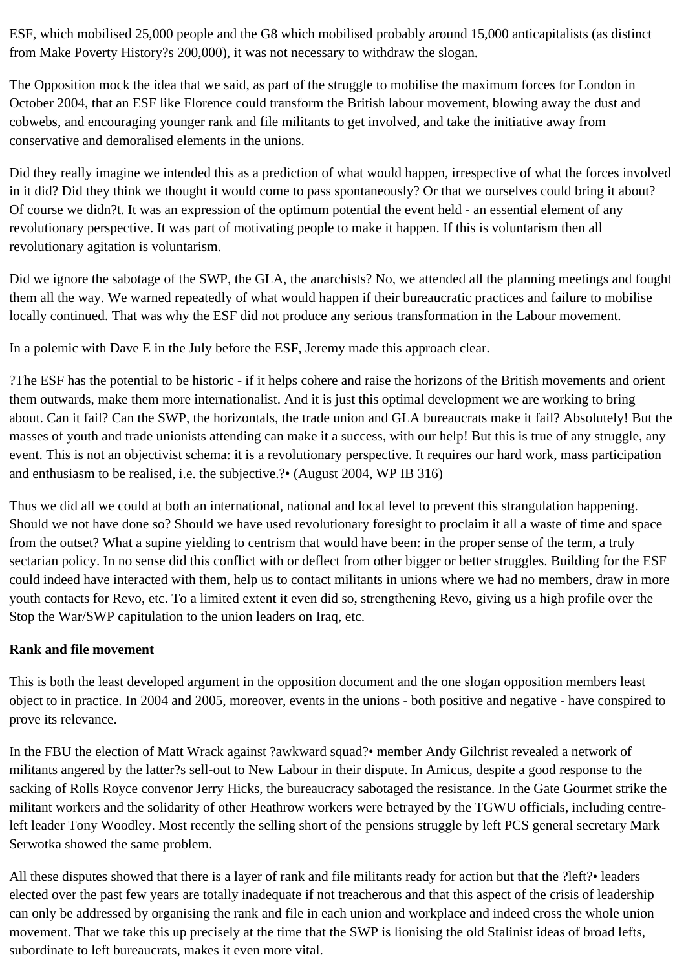ESF, which mobilised 25,000 people and the G8 which mobilised probably around 15,000 anticapitalists (as distinct from Make Poverty History?s 200,000), it was not necessary to withdraw the slogan.

The Opposition mock the idea that we said, as part of the struggle to mobilise the maximum forces for London in October 2004, that an ESF like Florence could transform the British labour movement, blowing away the dust and cobwebs, and encouraging younger rank and file militants to get involved, and take the initiative away from conservative and demoralised elements in the unions.

Did they really imagine we intended this as a prediction of what would happen, irrespective of what the forces involved in it did? Did they think we thought it would come to pass spontaneously? Or that we ourselves could bring it about? Of course we didn?t. It was an expression of the optimum potential the event held - an essential element of any revolutionary perspective. It was part of motivating people to make it happen. If this is voluntarism then all revolutionary agitation is voluntarism.

Did we ignore the sabotage of the SWP, the GLA, the anarchists? No, we attended all the planning meetings and fought them all the way. We warned repeatedly of what would happen if their bureaucratic practices and failure to mobilise locally continued. That was why the ESF did not produce any serious transformation in the Labour movement.

In a polemic with Dave E in the July before the ESF, Jeremy made this approach clear.

?The ESF has the potential to be historic - if it helps cohere and raise the horizons of the British movements and orient them outwards, make them more internationalist. And it is just this optimal development we are working to bring about. Can it fail? Can the SWP, the horizontals, the trade union and GLA bureaucrats make it fail? Absolutely! But the masses of youth and trade unionists attending can make it a success, with our help! But this is true of any struggle, any event. This is not an objectivist schema: it is a revolutionary perspective. It requires our hard work, mass participation and enthusiasm to be realised, i.e. the subjective.?• (August 2004, WP IB 316)

Thus we did all we could at both an international, national and local level to prevent this strangulation happening. Should we not have done so? Should we have used revolutionary foresight to proclaim it all a waste of time and space from the outset? What a supine yielding to centrism that would have been: in the proper sense of the term, a truly sectarian policy. In no sense did this conflict with or deflect from other bigger or better struggles. Building for the ESF could indeed have interacted with them, help us to contact militants in unions where we had no members, draw in more youth contacts for Revo, etc. To a limited extent it even did so, strengthening Revo, giving us a high profile over the Stop the War/SWP capitulation to the union leaders on Iraq, etc.

#### **Rank and file movement**

This is both the least developed argument in the opposition document and the one slogan opposition members least object to in practice. In 2004 and 2005, moreover, events in the unions - both positive and negative - have conspired to prove its relevance.

In the FBU the election of Matt Wrack against ?awkward squad?• member Andy Gilchrist revealed a network of militants angered by the latter?s sell-out to New Labour in their dispute. In Amicus, despite a good response to the sacking of Rolls Royce convenor Jerry Hicks, the bureaucracy sabotaged the resistance. In the Gate Gourmet strike the militant workers and the solidarity of other Heathrow workers were betrayed by the TGWU officials, including centreleft leader Tony Woodley. Most recently the selling short of the pensions struggle by left PCS general secretary Mark Serwotka showed the same problem.

All these disputes showed that there is a layer of rank and file militants ready for action but that the ?left?• leaders elected over the past few years are totally inadequate if not treacherous and that this aspect of the crisis of leadership can only be addressed by organising the rank and file in each union and workplace and indeed cross the whole union movement. That we take this up precisely at the time that the SWP is lionising the old Stalinist ideas of broad lefts, subordinate to left bureaucrats, makes it even more vital.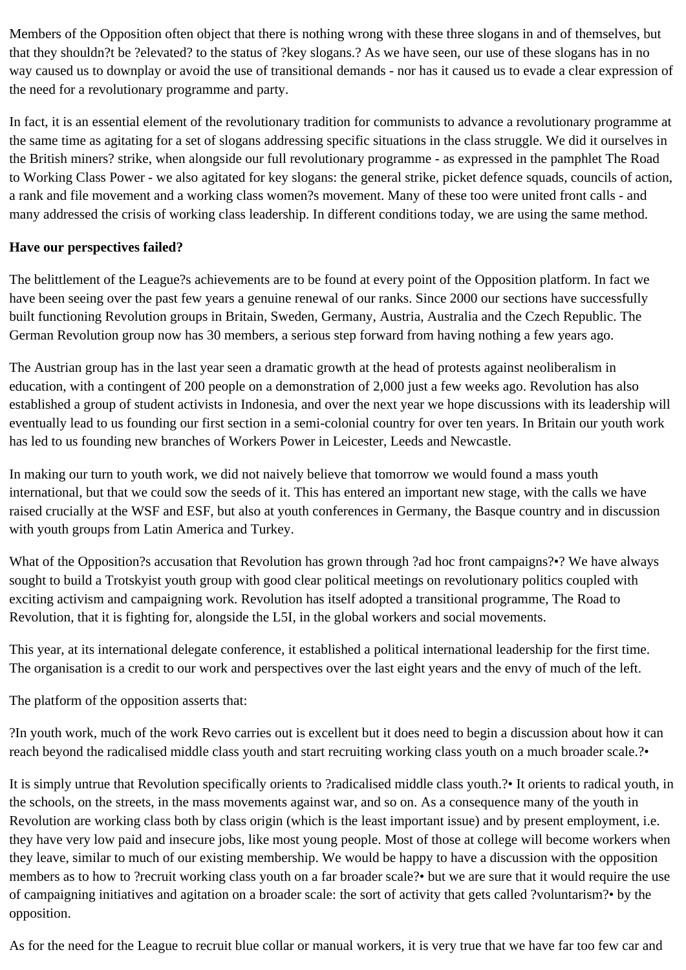Members of the Opposition often object that there is nothing wrong with these three slogans in and of themselves, but that they shouldn?t be ?elevated? to the status of ?key slogans.? As we have seen, our use of these slogans has in no way caused us to downplay or avoid the use of transitional demands - nor has it caused us to evade a clear expression of the need for a revolutionary programme and party.

In fact, it is an essential element of the revolutionary tradition for communists to advance a revolutionary programme at the same time as agitating for a set of slogans addressing specific situations in the class struggle. We did it ourselves in the British miners? strike, when alongside our full revolutionary programme - as expressed in the pamphlet The Road to Working Class Power - we also agitated for key slogans: the general strike, picket defence squads, councils of action, a rank and file movement and a working class women?s movement. Many of these too were united front calls - and many addressed the crisis of working class leadership. In different conditions today, we are using the same method.

#### **Have our perspectives failed?**

The belittlement of the League?s achievements are to be found at every point of the Opposition platform. In fact we have been seeing over the past few years a genuine renewal of our ranks. Since 2000 our sections have successfully built functioning Revolution groups in Britain, Sweden, Germany, Austria, Australia and the Czech Republic. The German Revolution group now has 30 members, a serious step forward from having nothing a few years ago.

The Austrian group has in the last year seen a dramatic growth at the head of protests against neoliberalism in education, with a contingent of 200 people on a demonstration of 2,000 just a few weeks ago. Revolution has also established a group of student activists in Indonesia, and over the next year we hope discussions with its leadership will eventually lead to us founding our first section in a semi-colonial country for over ten years. In Britain our youth work has led to us founding new branches of Workers Power in Leicester, Leeds and Newcastle.

In making our turn to youth work, we did not naively believe that tomorrow we would found a mass youth international, but that we could sow the seeds of it. This has entered an important new stage, with the calls we have raised crucially at the WSF and ESF, but also at youth conferences in Germany, the Basque country and in discussion with youth groups from Latin America and Turkey.

What of the Opposition?s accusation that Revolution has grown through ?ad hoc front campaigns?•? We have always sought to build a Trotskyist youth group with good clear political meetings on revolutionary politics coupled with exciting activism and campaigning work. Revolution has itself adopted a transitional programme, The Road to Revolution, that it is fighting for, alongside the L5I, in the global workers and social movements.

This year, at its international delegate conference, it established a political international leadership for the first time. The organisation is a credit to our work and perspectives over the last eight years and the envy of much of the left.

The platform of the opposition asserts that:

?In youth work, much of the work Revo carries out is excellent but it does need to begin a discussion about how it can reach beyond the radicalised middle class youth and start recruiting working class youth on a much broader scale.?•

It is simply untrue that Revolution specifically orients to ?radicalised middle class youth.?• It orients to radical youth, in the schools, on the streets, in the mass movements against war, and so on. As a consequence many of the youth in Revolution are working class both by class origin (which is the least important issue) and by present employment, i.e. they have very low paid and insecure jobs, like most young people. Most of those at college will become workers when they leave, similar to much of our existing membership. We would be happy to have a discussion with the opposition members as to how to ?recruit working class youth on a far broader scale?• but we are sure that it would require the use of campaigning initiatives and agitation on a broader scale: the sort of activity that gets called ?voluntarism?• by the opposition.

As for the need for the League to recruit blue collar or manual workers, it is very true that we have far too few car and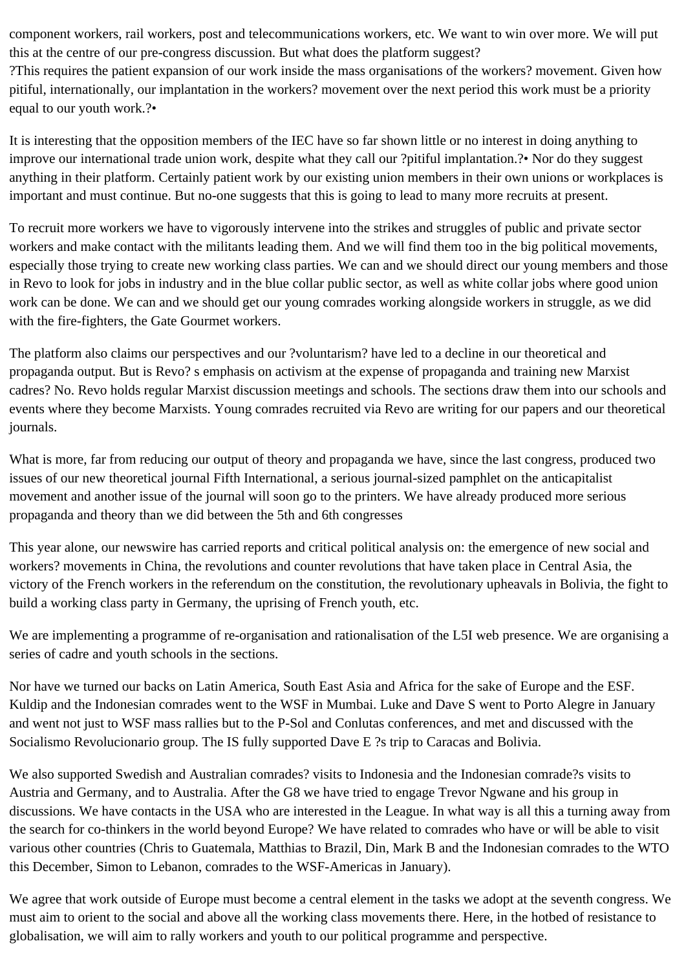component workers, rail workers, post and telecommunications workers, etc. We want to win over more. We will put this at the centre of our pre-congress discussion. But what does the platform suggest?

?This requires the patient expansion of our work inside the mass organisations of the workers? movement. Given how pitiful, internationally, our implantation in the workers? movement over the next period this work must be a priority equal to our youth work.?•

It is interesting that the opposition members of the IEC have so far shown little or no interest in doing anything to improve our international trade union work, despite what they call our ?pitiful implantation.?• Nor do they suggest anything in their platform. Certainly patient work by our existing union members in their own unions or workplaces is important and must continue. But no-one suggests that this is going to lead to many more recruits at present.

To recruit more workers we have to vigorously intervene into the strikes and struggles of public and private sector workers and make contact with the militants leading them. And we will find them too in the big political movements, especially those trying to create new working class parties. We can and we should direct our young members and those in Revo to look for jobs in industry and in the blue collar public sector, as well as white collar jobs where good union work can be done. We can and we should get our young comrades working alongside workers in struggle, as we did with the fire-fighters, the Gate Gourmet workers.

The platform also claims our perspectives and our ?voluntarism? have led to a decline in our theoretical and propaganda output. But is Revo? s emphasis on activism at the expense of propaganda and training new Marxist cadres? No. Revo holds regular Marxist discussion meetings and schools. The sections draw them into our schools and events where they become Marxists. Young comrades recruited via Revo are writing for our papers and our theoretical journals.

What is more, far from reducing our output of theory and propaganda we have, since the last congress, produced two issues of our new theoretical journal Fifth International, a serious journal-sized pamphlet on the anticapitalist movement and another issue of the journal will soon go to the printers. We have already produced more serious propaganda and theory than we did between the 5th and 6th congresses

This year alone, our newswire has carried reports and critical political analysis on: the emergence of new social and workers? movements in China, the revolutions and counter revolutions that have taken place in Central Asia, the victory of the French workers in the referendum on the constitution, the revolutionary upheavals in Bolivia, the fight to build a working class party in Germany, the uprising of French youth, etc.

We are implementing a programme of re-organisation and rationalisation of the L5I web presence. We are organising a series of cadre and youth schools in the sections.

Nor have we turned our backs on Latin America, South East Asia and Africa for the sake of Europe and the ESF. Kuldip and the Indonesian comrades went to the WSF in Mumbai. Luke and Dave S went to Porto Alegre in January and went not just to WSF mass rallies but to the P-Sol and Conlutas conferences, and met and discussed with the Socialismo Revolucionario group. The IS fully supported Dave E ?s trip to Caracas and Bolivia.

We also supported Swedish and Australian comrades? visits to Indonesia and the Indonesian comrade?s visits to Austria and Germany, and to Australia. After the G8 we have tried to engage Trevor Ngwane and his group in discussions. We have contacts in the USA who are interested in the League. In what way is all this a turning away from the search for co-thinkers in the world beyond Europe? We have related to comrades who have or will be able to visit various other countries (Chris to Guatemala, Matthias to Brazil, Din, Mark B and the Indonesian comrades to the WTO this December, Simon to Lebanon, comrades to the WSF-Americas in January).

We agree that work outside of Europe must become a central element in the tasks we adopt at the seventh congress. We must aim to orient to the social and above all the working class movements there. Here, in the hotbed of resistance to globalisation, we will aim to rally workers and youth to our political programme and perspective.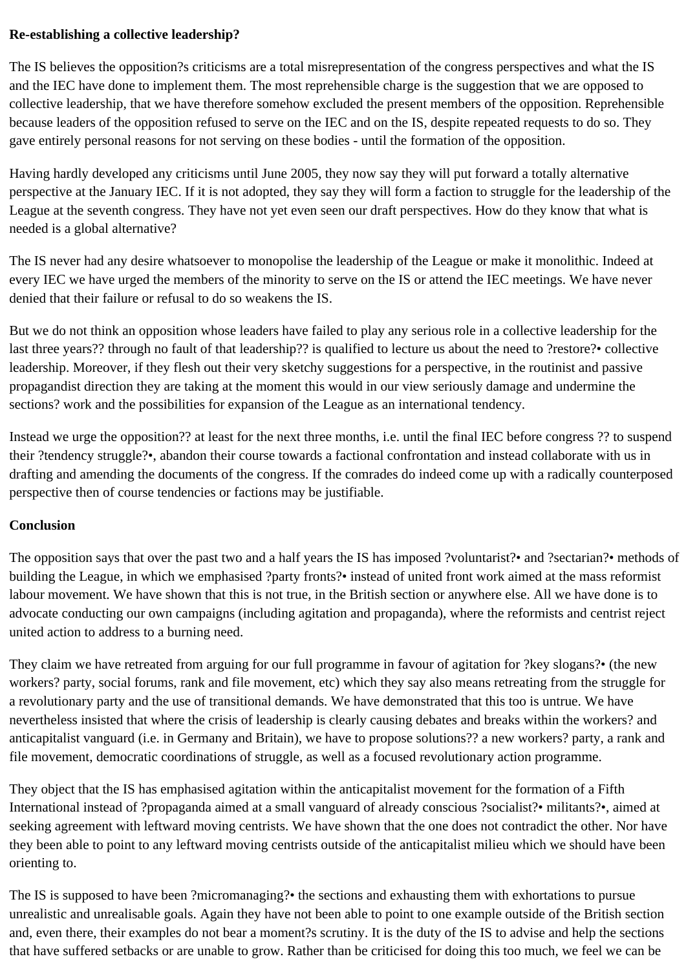## **Re-establishing a collective leadership?**

The IS believes the opposition?s criticisms are a total misrepresentation of the congress perspectives and what the IS and the IEC have done to implement them. The most reprehensible charge is the suggestion that we are opposed to collective leadership, that we have therefore somehow excluded the present members of the opposition. Reprehensible because leaders of the opposition refused to serve on the IEC and on the IS, despite repeated requests to do so. They gave entirely personal reasons for not serving on these bodies - until the formation of the opposition.

Having hardly developed any criticisms until June 2005, they now say they will put forward a totally alternative perspective at the January IEC. If it is not adopted, they say they will form a faction to struggle for the leadership of the League at the seventh congress. They have not yet even seen our draft perspectives. How do they know that what is needed is a global alternative?

The IS never had any desire whatsoever to monopolise the leadership of the League or make it monolithic. Indeed at every IEC we have urged the members of the minority to serve on the IS or attend the IEC meetings. We have never denied that their failure or refusal to do so weakens the IS.

But we do not think an opposition whose leaders have failed to play any serious role in a collective leadership for the last three years?? through no fault of that leadership?? is qualified to lecture us about the need to ?restore?• collective leadership. Moreover, if they flesh out their very sketchy suggestions for a perspective, in the routinist and passive propagandist direction they are taking at the moment this would in our view seriously damage and undermine the sections? work and the possibilities for expansion of the League as an international tendency.

Instead we urge the opposition?? at least for the next three months, i.e. until the final IEC before congress ?? to suspend their ?tendency struggle?•, abandon their course towards a factional confrontation and instead collaborate with us in drafting and amending the documents of the congress. If the comrades do indeed come up with a radically counterposed perspective then of course tendencies or factions may be justifiable.

## **Conclusion**

The opposition says that over the past two and a half years the IS has imposed ?voluntarist?• and ?sectarian?• methods of building the League, in which we emphasised ?party fronts?• instead of united front work aimed at the mass reformist labour movement. We have shown that this is not true, in the British section or anywhere else. All we have done is to advocate conducting our own campaigns (including agitation and propaganda), where the reformists and centrist reject united action to address to a burning need.

They claim we have retreated from arguing for our full programme in favour of agitation for ?key slogans?• (the new workers? party, social forums, rank and file movement, etc) which they say also means retreating from the struggle for a revolutionary party and the use of transitional demands. We have demonstrated that this too is untrue. We have nevertheless insisted that where the crisis of leadership is clearly causing debates and breaks within the workers? and anticapitalist vanguard (i.e. in Germany and Britain), we have to propose solutions?? a new workers? party, a rank and file movement, democratic coordinations of struggle, as well as a focused revolutionary action programme.

They object that the IS has emphasised agitation within the anticapitalist movement for the formation of a Fifth International instead of ?propaganda aimed at a small vanguard of already conscious ?socialist?• militants?•, aimed at seeking agreement with leftward moving centrists. We have shown that the one does not contradict the other. Nor have they been able to point to any leftward moving centrists outside of the anticapitalist milieu which we should have been orienting to.

The IS is supposed to have been ?micromanaging?• the sections and exhausting them with exhortations to pursue unrealistic and unrealisable goals. Again they have not been able to point to one example outside of the British section and, even there, their examples do not bear a moment?s scrutiny. It is the duty of the IS to advise and help the sections that have suffered setbacks or are unable to grow. Rather than be criticised for doing this too much, we feel we can be